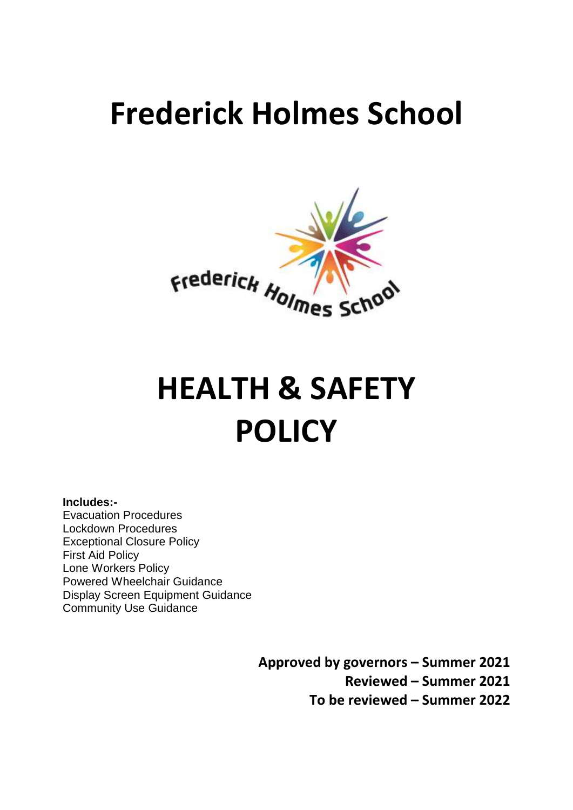# **Frederick Holmes School**



# **HEALTH & SAFETY POLICY**

#### **Includes:-**

Evacuation Procedures Lockdown Procedures Exceptional Closure Policy First Aid Policy Lone Workers Policy Powered Wheelchair Guidance Display Screen Equipment Guidance Community Use Guidance

> **Approved by governors – Summer 2021 Reviewed – Summer 2021 To be reviewed – Summer 2022**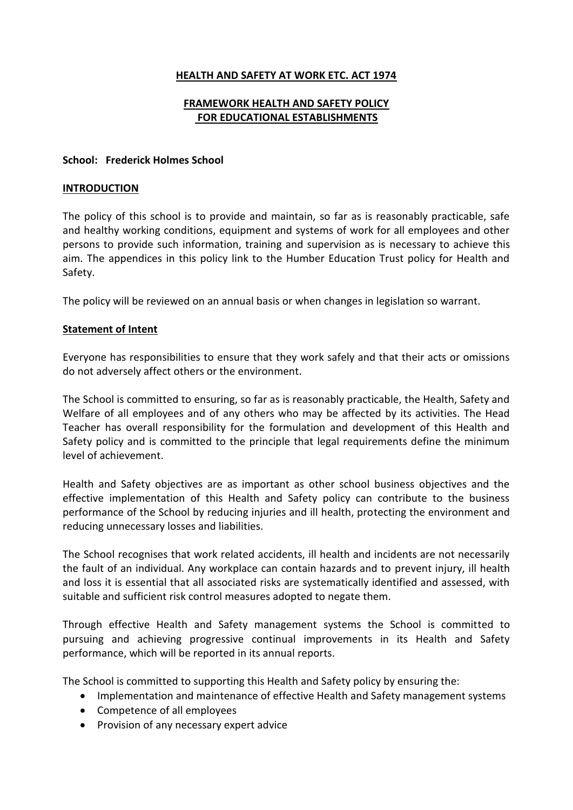#### **HEALTH AND SAFETY AT WORK ETC. ACT 1974**

#### **FRAMEWORK HEALTH AND SAFETY POLICY FOR EDUCATIONAL ESTABLISHMENTS**

#### **School: Frederick Holmes School**

#### **INTRODUCTION**

The policy of this school is to provide and maintain, so far as is reasonably practicable, safe and healthy working conditions, equipment and systems of work for all employees and other persons to provide such information, training and supervision as is necessary to achieve this aim. The appendices in this policy link to the Humber Education Trust policy for Health and Safety.

The policy will be reviewed on an annual basis or when changes in legislation so warrant.

#### **Statement of Intent**

Everyone has responsibilities to ensure that they work safely and that their acts or omissions do not adversely affect others or the environment.

The School is committed to ensuring, so far as is reasonably practicable, the Health, Safety and Welfare of all employees and of any others who may be affected by its activities. The Head Teacher has overall responsibility for the formulation and development of this Health and Safety policy and is committed to the principle that legal requirements define the minimum level of achievement.

Health and Safety objectives are as important as other school business objectives and the effective implementation of this Health and Safety policy can contribute to the business performance of the School by reducing injuries and ill health, protecting the environment and reducing unnecessary losses and liabilities.

The School recognises that work related accidents, ill health and incidents are not necessarily the fault of an individual. Any workplace can contain hazards and to prevent injury, ill health and loss it is essential that all associated risks are systematically identified and assessed, with suitable and sufficient risk control measures adopted to negate them.

Through effective Health and Safety management systems the School is committed to pursuing and achieving progressive continual improvements in its Health and Safety performance, which will be reported in its annual reports.

The School is committed to supporting this Health and Safety policy by ensuring the:

- Implementation and maintenance of effective Health and Safety management systems
- Competence of all employees
- Provision of any necessary expert advice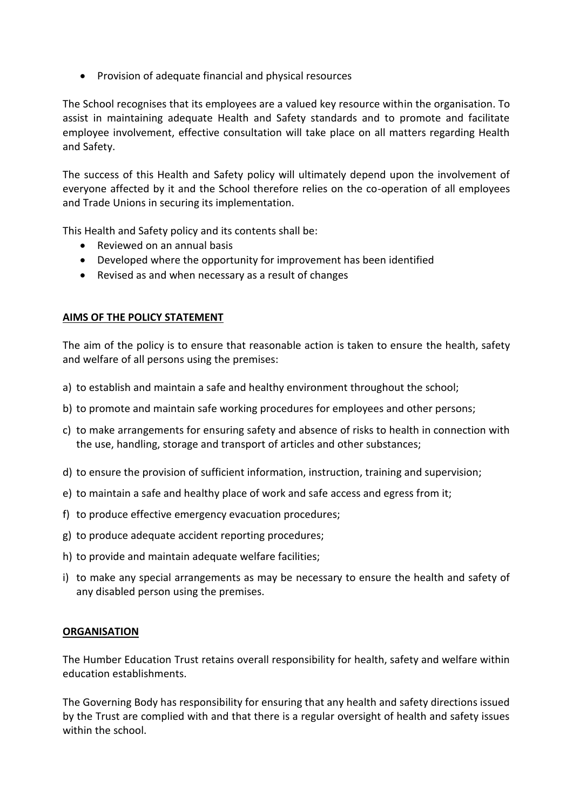• Provision of adequate financial and physical resources

The School recognises that its employees are a valued key resource within the organisation. To assist in maintaining adequate Health and Safety standards and to promote and facilitate employee involvement, effective consultation will take place on all matters regarding Health and Safety.

The success of this Health and Safety policy will ultimately depend upon the involvement of everyone affected by it and the School therefore relies on the co-operation of all employees and Trade Unions in securing its implementation.

This Health and Safety policy and its contents shall be:

- Reviewed on an annual basis
- Developed where the opportunity for improvement has been identified
- Revised as and when necessary as a result of changes

#### **AIMS OF THE POLICY STATEMENT**

The aim of the policy is to ensure that reasonable action is taken to ensure the health, safety and welfare of all persons using the premises:

- a) to establish and maintain a safe and healthy environment throughout the school;
- b) to promote and maintain safe working procedures for employees and other persons;
- c) to make arrangements for ensuring safety and absence of risks to health in connection with the use, handling, storage and transport of articles and other substances;
- d) to ensure the provision of sufficient information, instruction, training and supervision;
- e) to maintain a safe and healthy place of work and safe access and egress from it;
- f) to produce effective emergency evacuation procedures;
- g) to produce adequate accident reporting procedures;
- h) to provide and maintain adequate welfare facilities;
- i) to make any special arrangements as may be necessary to ensure the health and safety of any disabled person using the premises.

#### **ORGANISATION**

The Humber Education Trust retains overall responsibility for health, safety and welfare within education establishments.

The Governing Body has responsibility for ensuring that any health and safety directions issued by the Trust are complied with and that there is a regular oversight of health and safety issues within the school.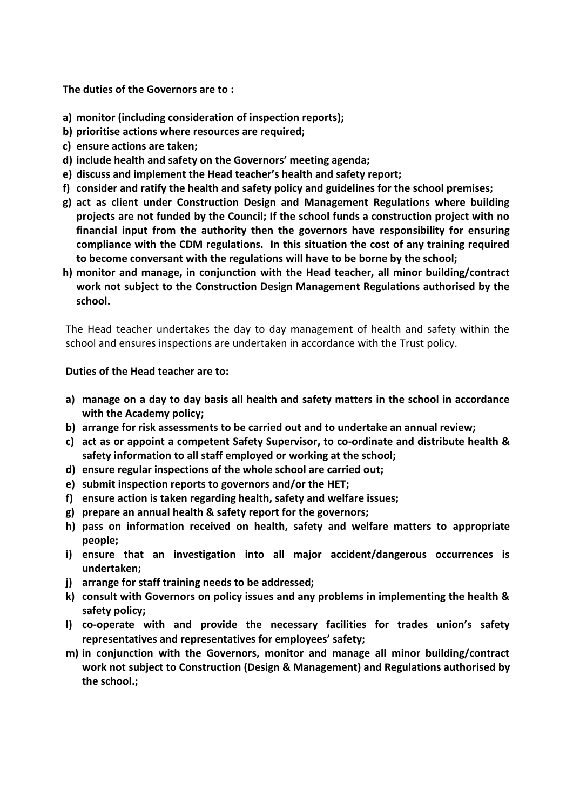**The duties of the Governors are to :**

- **a) monitor (including consideration of inspection reports);**
- **b) prioritise actions where resources are required;**
- **c) ensure actions are taken;**
- **d) include health and safety on the Governors' meeting agenda;**
- **e) discuss and implement the Head teacher's health and safety report;**
- **f) consider and ratify the health and safety policy and guidelines for the school premises;**
- **g) act as client under Construction Design and Management Regulations where building projects are not funded by the Council; If the school funds a construction project with no financial input from the authority then the governors have responsibility for ensuring compliance with the CDM regulations. In this situation the cost of any training required to become conversant with the regulations will have to be borne by the school;**
- **h) monitor and manage, in conjunction with the Head teacher, all minor building/contract work not subject to the Construction Design Management Regulations authorised by the school.**

The Head teacher undertakes the day to day management of health and safety within the school and ensures inspections are undertaken in accordance with the Trust policy.

#### **Duties of the Head teacher are to:**

- **a) manage on a day to day basis all health and safety matters in the school in accordance with the Academy policy;**
- **b) arrange for risk assessments to be carried out and to undertake an annual review;**
- **c) act as or appoint a competent Safety Supervisor, to co-ordinate and distribute health & safety information to all staff employed or working at the school;**
- **d) ensure regular inspections of the whole school are carried out;**
- **e) submit inspection reports to governors and/or the HET;**
- **f) ensure action is taken regarding health, safety and welfare issues;**
- **g) prepare an annual health & safety report for the governors;**
- **h) pass on information received on health, safety and welfare matters to appropriate people;**
- **i) ensure that an investigation into all major accident/dangerous occurrences is undertaken;**
- **j) arrange for staff training needs to be addressed;**
- **k) consult with Governors on policy issues and any problems in implementing the health & safety policy;**
- **l) co-operate with and provide the necessary facilities for trades union's safety representatives and representatives for employees' safety;**
- **m) in conjunction with the Governors, monitor and manage all minor building/contract work not subject to Construction (Design & Management) and Regulations authorised by the school.;**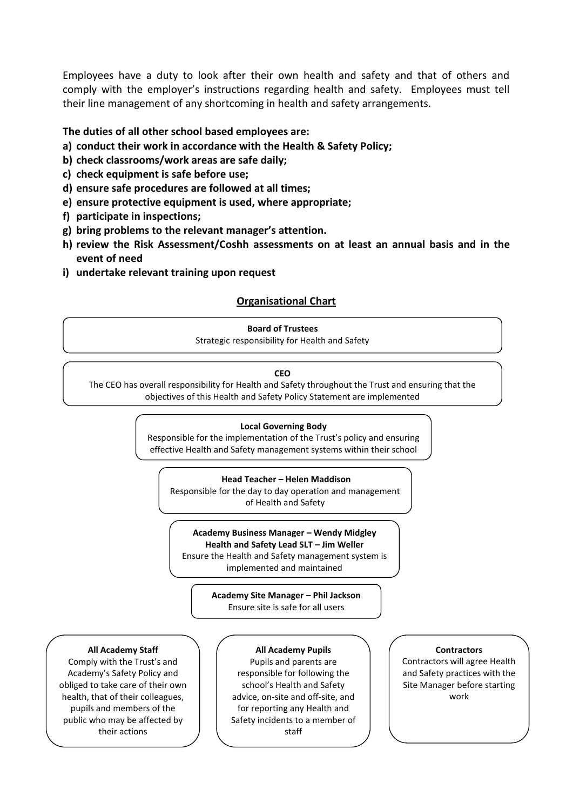Employees have a duty to look after their own health and safety and that of others and comply with the employer's instructions regarding health and safety. Employees must tell their line management of any shortcoming in health and safety arrangements.

#### **The duties of all other school based employees are:**

- **a) conduct their work in accordance with the Health & Safety Policy;**
- **b) check classrooms/work areas are safe daily;**
- **c) check equipment is safe before use;**
- **d) ensure safe procedures are followed at all times;**
- **e) ensure protective equipment is used, where appropriate;**
- **f) participate in inspections;**
- **g) bring problems to the relevant manager's attention.**
- **h) review the Risk Assessment/Coshh assessments on at least an annual basis and in the event of need**
- **i) undertake relevant training upon request**

#### **Organisational Chart**

#### **Board of Trustees**

Strategic responsibility for Health and Safety

#### **CEO**

**Appendices** The CEO has overall responsibility for Health and Safety throughout the Trust and ensuring that the objectives of this Health and Safety Policy Statement are implemented

#### **Local Governing Body**

Responsible for the implementation of the Trust's policy and ensuring effective Health and Safety management systems within their school

#### **Head Teacher – Helen Maddison**

Responsible for the day to day operation and management of Health and Safety

#### **Academy Business Manager – Wendy Midgley**

**Health and Safety Lead SLT – Jim Weller** Ensure the Health and Safety management system is

implemented and maintained

**Academy Site Manager – Phil Jackson** Ensure site is safe for all users

#### **All Academy Staff**

their actions Comply with the Trust's and Academy's Safety Policy and obliged to take care of their own health, that of their colleagues, pupils and members of the public who may be affected by

#### **All Academy Pupils**

Pupils and parents are responsible for following the school's Health and Safety advice, on-site and off-site, and for reporting any Health and Safety incidents to a member of staff

#### **Contractors**

Contractors will agree Health and Safety practices with the Site Manager before starting work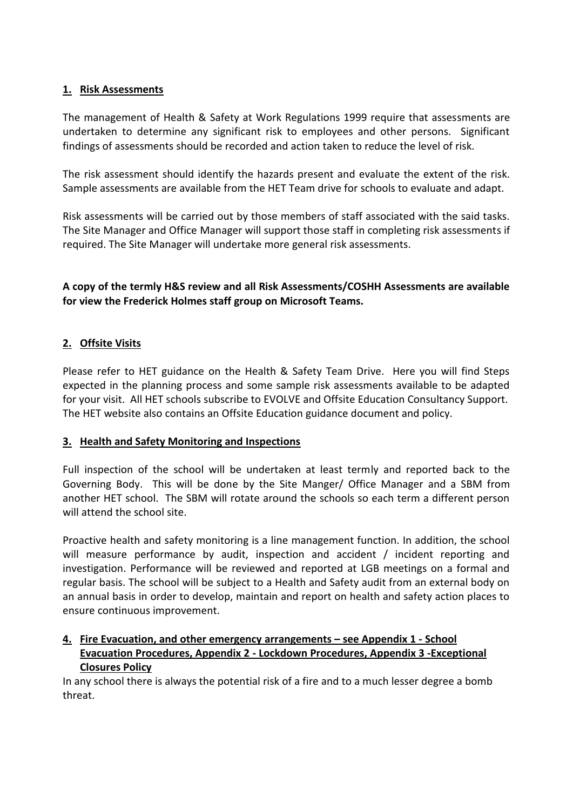### **1. Risk Assessments**

The management of Health & Safety at Work Regulations 1999 require that assessments are undertaken to determine any significant risk to employees and other persons. Significant findings of assessments should be recorded and action taken to reduce the level of risk.

The risk assessment should identify the hazards present and evaluate the extent of the risk. Sample assessments are available from the HET Team drive for schools to evaluate and adapt.

Risk assessments will be carried out by those members of staff associated with the said tasks. The Site Manager and Office Manager will support those staff in completing risk assessments if required. The Site Manager will undertake more general risk assessments.

**A copy of the termly H&S review and all Risk Assessments/COSHH Assessments are available for view the Frederick Holmes staff group on Microsoft Teams.**

### **2. Offsite Visits**

Please refer to HET guidance on the Health & Safety Team Drive. Here you will find Steps expected in the planning process and some sample risk assessments available to be adapted for your visit. All HET schools subscribe to EVOLVE and Offsite Education Consultancy Support. The HET website also contains an Offsite Education guidance document and policy.

#### **3. Health and Safety Monitoring and Inspections**

Full inspection of the school will be undertaken at least termly and reported back to the Governing Body. This will be done by the Site Manger/ Office Manager and a SBM from another HET school. The SBM will rotate around the schools so each term a different person will attend the school site.

Proactive health and safety monitoring is a line management function. In addition, the school will measure performance by audit, inspection and accident / incident reporting and investigation. Performance will be reviewed and reported at LGB meetings on a formal and regular basis. The school will be subject to a Health and Safety audit from an external body on an annual basis in order to develop, maintain and report on health and safety action places to ensure continuous improvement.

### **4. Fire Evacuation, and other emergency arrangements – see Appendix 1 - School Evacuation Procedures, Appendix 2 - Lockdown Procedures, Appendix 3 -Exceptional Closures Policy**

In any school there is always the potential risk of a fire and to a much lesser degree a bomb threat.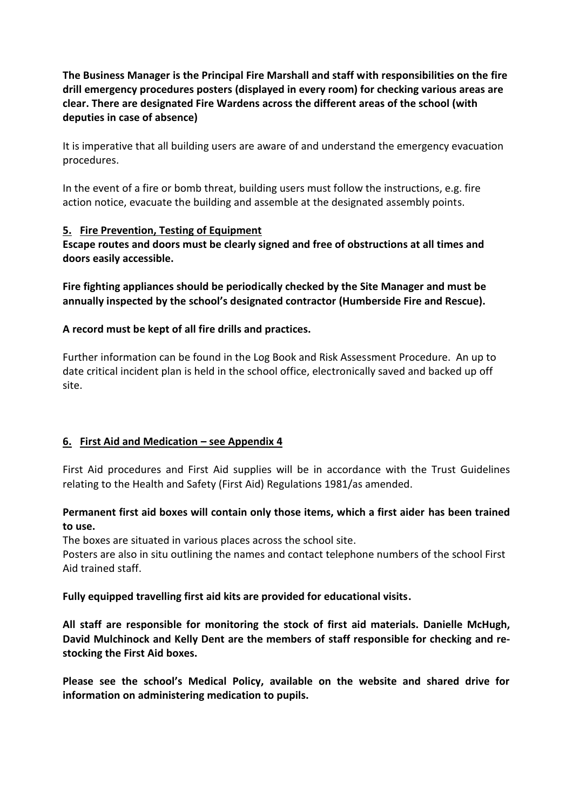**The Business Manager is the Principal Fire Marshall and staff with responsibilities on the fire drill emergency procedures posters (displayed in every room) for checking various areas are clear. There are designated Fire Wardens across the different areas of the school (with deputies in case of absence)**

It is imperative that all building users are aware of and understand the emergency evacuation procedures.

In the event of a fire or bomb threat, building users must follow the instructions, e.g. fire action notice, evacuate the building and assemble at the designated assembly points.

#### **5. Fire Prevention, Testing of Equipment**

**Escape routes and doors must be clearly signed and free of obstructions at all times and doors easily accessible.** 

**Fire fighting appliances should be periodically checked by the Site Manager and must be annually inspected by the school's designated contractor (Humberside Fire and Rescue).** 

#### **A record must be kept of all fire drills and practices.**

Further information can be found in the Log Book and Risk Assessment Procedure. An up to date critical incident plan is held in the school office, electronically saved and backed up off site.

#### **6. First Aid and Medication – see Appendix 4**

First Aid procedures and First Aid supplies will be in accordance with the Trust Guidelines relating to the Health and Safety (First Aid) Regulations 1981/as amended.

### **Permanent first aid boxes will contain only those items, which a first aider has been trained to use.**

The boxes are situated in various places across the school site.

Posters are also in situ outlining the names and contact telephone numbers of the school First Aid trained staff.

#### **Fully equipped travelling first aid kits are provided for educational visits.**

**All staff are responsible for monitoring the stock of first aid materials. Danielle McHugh, David Mulchinock and Kelly Dent are the members of staff responsible for checking and restocking the First Aid boxes.**

**Please see the school's Medical Policy, available on the website and shared drive for information on administering medication to pupils.**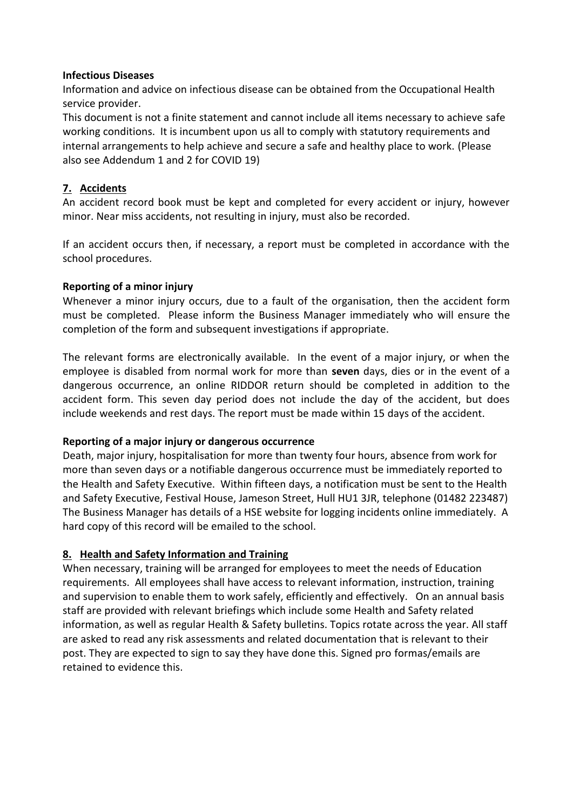#### **Infectious Diseases**

Information and advice on infectious disease can be obtained from the Occupational Health service provider.

This document is not a finite statement and cannot include all items necessary to achieve safe working conditions. It is incumbent upon us all to comply with statutory requirements and internal arrangements to help achieve and secure a safe and healthy place to work. (Please also see Addendum 1 and 2 for COVID 19)

## **7. Accidents**

An accident record book must be kept and completed for every accident or injury, however minor. Near miss accidents, not resulting in injury, must also be recorded.

If an accident occurs then, if necessary, a report must be completed in accordance with the school procedures.

#### **Reporting of a minor injury**

Whenever a minor injury occurs, due to a fault of the organisation, then the accident form must be completed. Please inform the Business Manager immediately who will ensure the completion of the form and subsequent investigations if appropriate.

The relevant forms are electronically available. In the event of a major injury, or when the employee is disabled from normal work for more than **seven** days, dies or in the event of a dangerous occurrence, an online RIDDOR return should be completed in addition to the accident form. This seven day period does not include the day of the accident, but does include weekends and rest days. The report must be made within 15 days of the accident.

#### **Reporting of a major injury or dangerous occurrence**

Death, major injury, hospitalisation for more than twenty four hours, absence from work for more than seven days or a notifiable dangerous occurrence must be immediately reported to the Health and Safety Executive. Within fifteen days, a notification must be sent to the Health and Safety Executive, Festival House, Jameson Street, Hull HU1 3JR, telephone (01482 223487) The Business Manager has details of a HSE website for logging incidents online immediately. A hard copy of this record will be emailed to the school.

#### **8. Health and Safety Information and Training**

When necessary, training will be arranged for employees to meet the needs of Education requirements. All employees shall have access to relevant information, instruction, training and supervision to enable them to work safely, efficiently and effectively. On an annual basis staff are provided with relevant briefings which include some Health and Safety related information, as well as regular Health & Safety bulletins. Topics rotate across the year. All staff are asked to read any risk assessments and related documentation that is relevant to their post. They are expected to sign to say they have done this. Signed pro formas/emails are retained to evidence this.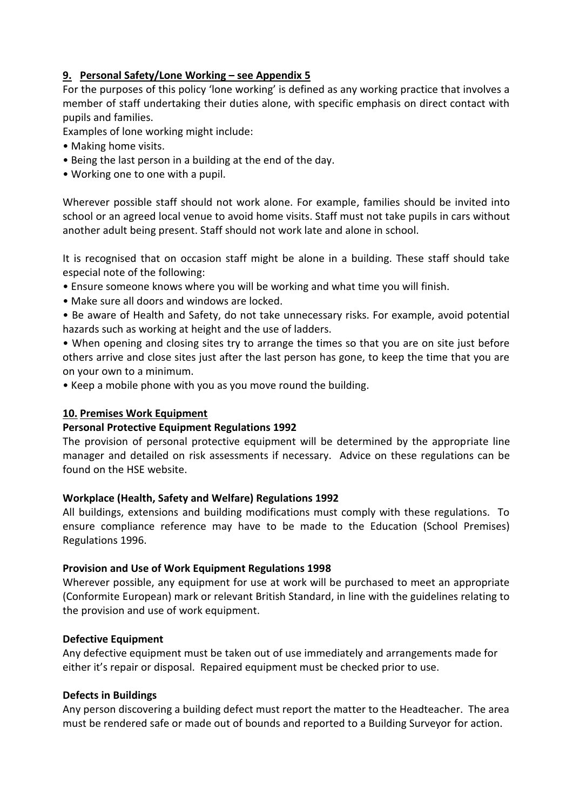#### **9. Personal Safety/Lone Working – see Appendix 5**

For the purposes of this policy 'lone working' is defined as any working practice that involves a member of staff undertaking their duties alone, with specific emphasis on direct contact with pupils and families.

Examples of lone working might include:

- Making home visits.
- Being the last person in a building at the end of the day.
- Working one to one with a pupil.

Wherever possible staff should not work alone. For example, families should be invited into school or an agreed local venue to avoid home visits. Staff must not take pupils in cars without another adult being present. Staff should not work late and alone in school.

It is recognised that on occasion staff might be alone in a building. These staff should take especial note of the following:

- Ensure someone knows where you will be working and what time you will finish.
- Make sure all doors and windows are locked.
- Be aware of Health and Safety, do not take unnecessary risks. For example, avoid potential hazards such as working at height and the use of ladders.

• When opening and closing sites try to arrange the times so that you are on site just before others arrive and close sites just after the last person has gone, to keep the time that you are on your own to a minimum.

• Keep a mobile phone with you as you move round the building.

#### **10. Premises Work Equipment**

#### **Personal Protective Equipment Regulations 1992**

The provision of personal protective equipment will be determined by the appropriate line manager and detailed on risk assessments if necessary. Advice on these regulations can be found on the HSE website.

#### **Workplace (Health, Safety and Welfare) Regulations 1992**

All buildings, extensions and building modifications must comply with these regulations. To ensure compliance reference may have to be made to the Education (School Premises) Regulations 1996.

#### **Provision and Use of Work Equipment Regulations 1998**

Wherever possible, any equipment for use at work will be purchased to meet an appropriate (Conformite European) mark or relevant British Standard, in line with the guidelines relating to the provision and use of work equipment.

#### **Defective Equipment**

Any defective equipment must be taken out of use immediately and arrangements made for either it's repair or disposal. Repaired equipment must be checked prior to use.

#### **Defects in Buildings**

Any person discovering a building defect must report the matter to the Headteacher. The area must be rendered safe or made out of bounds and reported to a Building Surveyor for action.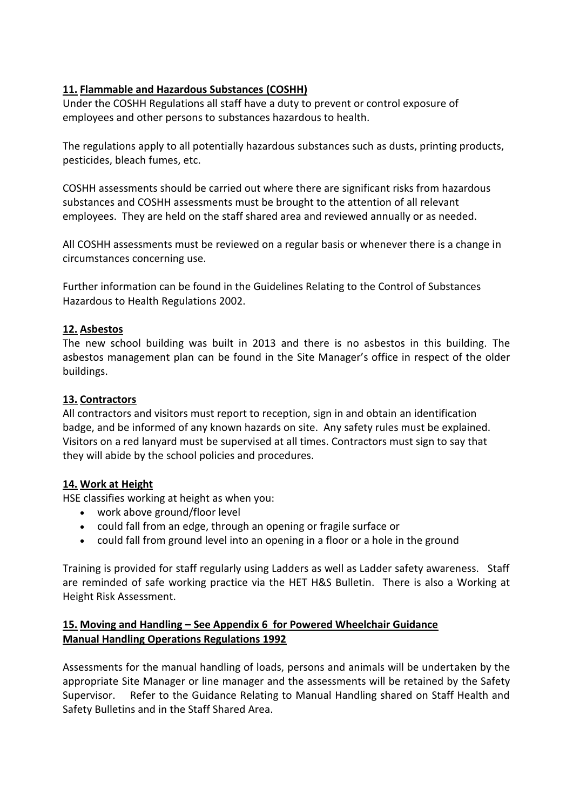### **11. Flammable and Hazardous Substances (COSHH)**

Under the COSHH Regulations all staff have a duty to prevent or control exposure of employees and other persons to substances hazardous to health.

The regulations apply to all potentially hazardous substances such as dusts, printing products, pesticides, bleach fumes, etc.

COSHH assessments should be carried out where there are significant risks from hazardous substances and COSHH assessments must be brought to the attention of all relevant employees. They are held on the staff shared area and reviewed annually or as needed.

All COSHH assessments must be reviewed on a regular basis or whenever there is a change in circumstances concerning use.

Further information can be found in the Guidelines Relating to the Control of Substances Hazardous to Health Regulations 2002.

#### **12. Asbestos**

The new school building was built in 2013 and there is no asbestos in this building. The asbestos management plan can be found in the Site Manager's office in respect of the older buildings.

#### **13. Contractors**

All contractors and visitors must report to reception, sign in and obtain an identification badge, and be informed of any known hazards on site. Any safety rules must be explained. Visitors on a red lanyard must be supervised at all times. Contractors must sign to say that they will abide by the school policies and procedures.

#### **14. Work at Height**

HSE classifies working at height as when you:

- work above ground/floor level
- could fall from an edge, through an opening or fragile surface or
- could fall from ground level into an opening in a floor or a hole in the ground

Training is provided for staff regularly using Ladders as well as Ladder safety awareness. Staff are reminded of safe working practice via the HET H&S Bulletin. There is also a Working at Height Risk Assessment.

#### **15. Moving and Handling – See Appendix 6 for Powered Wheelchair Guidance Manual Handling Operations Regulations 1992**

Assessments for the manual handling of loads, persons and animals will be undertaken by the appropriate Site Manager or line manager and the assessments will be retained by the Safety Supervisor. Refer to the Guidance Relating to Manual Handling shared on Staff Health and Safety Bulletins and in the Staff Shared Area.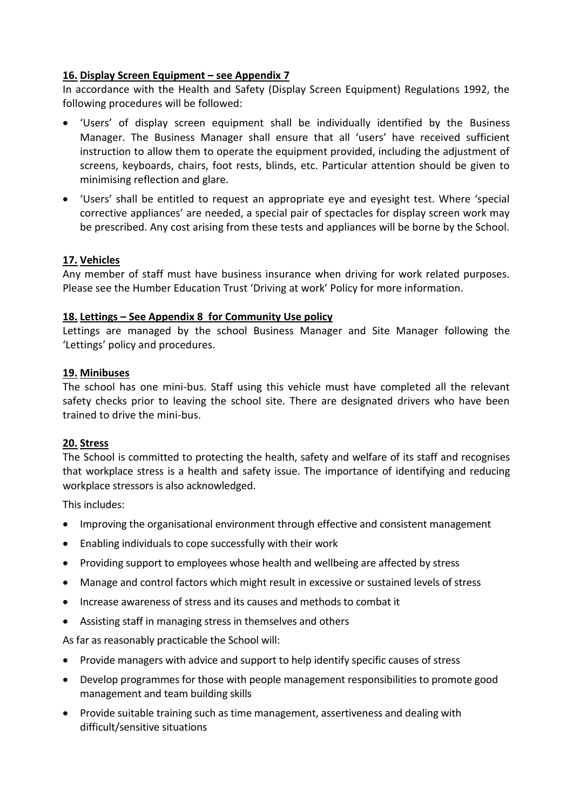#### **16. Display Screen Equipment – see Appendix 7**

In accordance with the Health and Safety (Display Screen Equipment) Regulations 1992, the following procedures will be followed:

- 'Users' of display screen equipment shall be individually identified by the Business Manager. The Business Manager shall ensure that all 'users' have received sufficient instruction to allow them to operate the equipment provided, including the adjustment of screens, keyboards, chairs, foot rests, blinds, etc. Particular attention should be given to minimising reflection and glare.
- 'Users' shall be entitled to request an appropriate eye and eyesight test. Where 'special corrective appliances' are needed, a special pair of spectacles for display screen work may be prescribed. Any cost arising from these tests and appliances will be borne by the School.

#### **17. Vehicles**

Any member of staff must have business insurance when driving for work related purposes. Please see the Humber Education Trust 'Driving at work' Policy for more information.

#### **18. Lettings – See Appendix 8 for Community Use policy**

Lettings are managed by the school Business Manager and Site Manager following the 'Lettings' policy and procedures.

#### **19. Minibuses**

The school has one mini-bus. Staff using this vehicle must have completed all the relevant safety checks prior to leaving the school site. There are designated drivers who have been trained to drive the mini-bus.

#### **20. Stress**

The School is committed to protecting the health, safety and welfare of its staff and recognises that workplace stress is a health and safety issue. The importance of identifying and reducing workplace stressors is also acknowledged.

This includes:

- Improving the organisational environment through effective and consistent management
- Enabling individuals to cope successfully with their work
- Providing support to employees whose health and wellbeing are affected by stress
- Manage and control factors which might result in excessive or sustained levels of stress
- Increase awareness of stress and its causes and methods to combat it
- Assisting staff in managing stress in themselves and others

As far as reasonably practicable the School will:

- Provide managers with advice and support to help identify specific causes of stress
- Develop programmes for those with people management responsibilities to promote good management and team building skills
- Provide suitable training such as time management, assertiveness and dealing with difficult/sensitive situations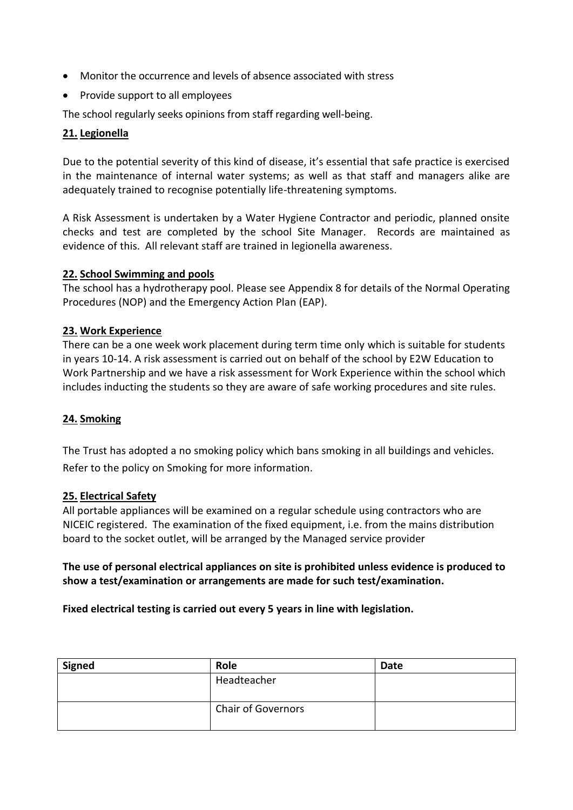- Monitor the occurrence and levels of absence associated with stress
- Provide support to all employees

The school regularly seeks opinions from staff regarding well-being.

#### **21. Legionella**

Due to the potential severity of this kind of disease, it's essential that safe practice is exercised in the maintenance of internal water systems; as well as that staff and managers alike are adequately trained to recognise potentially life-threatening symptoms.

A Risk Assessment is undertaken by a Water Hygiene Contractor and periodic, planned onsite checks and test are completed by the school Site Manager. Records are maintained as evidence of this. All relevant staff are trained in legionella awareness.

#### **22. School Swimming and pools**

The school has a hydrotherapy pool. Please see Appendix 8 for details of the Normal Operating Procedures (NOP) and the Emergency Action Plan (EAP).

#### **23. Work Experience**

There can be a one week work placement during term time only which is suitable for students in years 10-14. A risk assessment is carried out on behalf of the school by E2W Education to Work Partnership and we have a risk assessment for Work Experience within the school which includes inducting the students so they are aware of safe working procedures and site rules.

#### **24. Smoking**

The Trust has adopted a no smoking policy which bans smoking in all buildings and vehicles. Refer to the policy on Smoking for more information.

#### **25. Electrical Safety**

All portable appliances will be examined on a regular schedule using contractors who are NICEIC registered. The examination of the fixed equipment, i.e. from the mains distribution board to the socket outlet, will be arranged by the Managed service provider

#### **The use of personal electrical appliances on site is prohibited unless evidence is produced to show a test/examination or arrangements are made for such test/examination.**

#### **Fixed electrical testing is carried out every 5 years in line with legislation.**

| <b>Signed</b> | Role                      | <b>Date</b> |
|---------------|---------------------------|-------------|
|               | Headteacher               |             |
|               | <b>Chair of Governors</b> |             |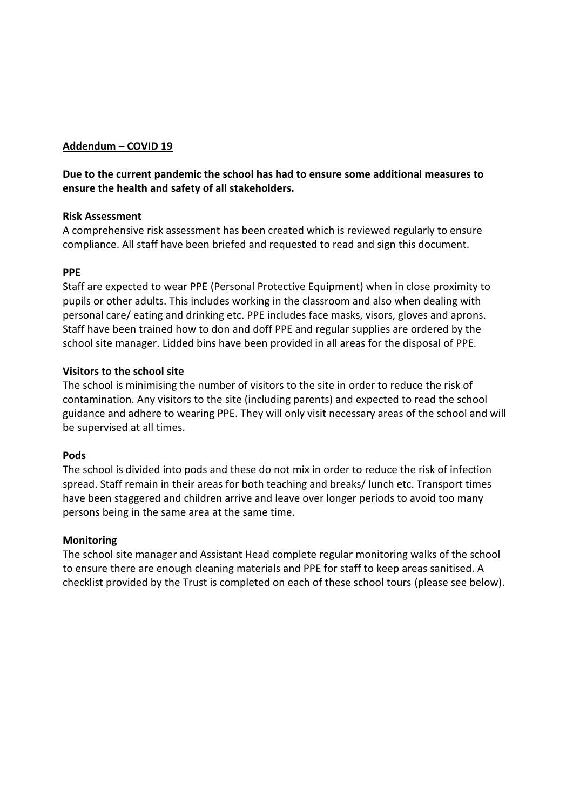#### **Addendum – COVID 19**

### **Due to the current pandemic the school has had to ensure some additional measures to ensure the health and safety of all stakeholders.**

#### **Risk Assessment**

A comprehensive risk assessment has been created which is reviewed regularly to ensure compliance. All staff have been briefed and requested to read and sign this document.

#### **PPE**

Staff are expected to wear PPE (Personal Protective Equipment) when in close proximity to pupils or other adults. This includes working in the classroom and also when dealing with personal care/ eating and drinking etc. PPE includes face masks, visors, gloves and aprons. Staff have been trained how to don and doff PPE and regular supplies are ordered by the school site manager. Lidded bins have been provided in all areas for the disposal of PPE.

#### **Visitors to the school site**

The school is minimising the number of visitors to the site in order to reduce the risk of contamination. Any visitors to the site (including parents) and expected to read the school guidance and adhere to wearing PPE. They will only visit necessary areas of the school and will be supervised at all times.

#### **Pods**

The school is divided into pods and these do not mix in order to reduce the risk of infection spread. Staff remain in their areas for both teaching and breaks/ lunch etc. Transport times have been staggered and children arrive and leave over longer periods to avoid too many persons being in the same area at the same time.

#### **Monitoring**

The school site manager and Assistant Head complete regular monitoring walks of the school to ensure there are enough cleaning materials and PPE for staff to keep areas sanitised. A checklist provided by the Trust is completed on each of these school tours (please see below).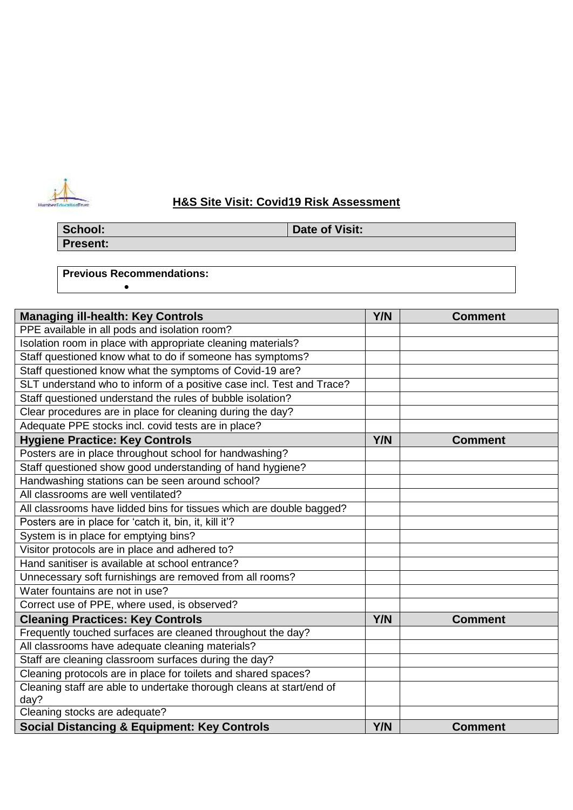

## **H&S Site Visit: Covid19 Risk Assessment**

**Present:**

**School: Date of Visit:** 

**Previous Recommendations:**

•

| <b>Managing ill-health: Key Controls</b>                              | Y/N | <b>Comment</b> |
|-----------------------------------------------------------------------|-----|----------------|
| PPE available in all pods and isolation room?                         |     |                |
| Isolation room in place with appropriate cleaning materials?          |     |                |
| Staff questioned know what to do if someone has symptoms?             |     |                |
| Staff questioned know what the symptoms of Covid-19 are?              |     |                |
| SLT understand who to inform of a positive case incl. Test and Trace? |     |                |
| Staff questioned understand the rules of bubble isolation?            |     |                |
| Clear procedures are in place for cleaning during the day?            |     |                |
| Adequate PPE stocks incl. covid tests are in place?                   |     |                |
| <b>Hygiene Practice: Key Controls</b>                                 | Y/N | <b>Comment</b> |
| Posters are in place throughout school for handwashing?               |     |                |
| Staff questioned show good understanding of hand hygiene?             |     |                |
| Handwashing stations can be seen around school?                       |     |                |
| All classrooms are well ventilated?                                   |     |                |
| All classrooms have lidded bins for tissues which are double bagged?  |     |                |
| Posters are in place for 'catch it, bin, it, kill it'?                |     |                |
| System is in place for emptying bins?                                 |     |                |
| Visitor protocols are in place and adhered to?                        |     |                |
| Hand sanitiser is available at school entrance?                       |     |                |
| Unnecessary soft furnishings are removed from all rooms?              |     |                |
| Water fountains are not in use?                                       |     |                |
| Correct use of PPE, where used, is observed?                          |     |                |
| <b>Cleaning Practices: Key Controls</b>                               | Y/N | <b>Comment</b> |
| Frequently touched surfaces are cleaned throughout the day?           |     |                |
| All classrooms have adequate cleaning materials?                      |     |                |
| Staff are cleaning classroom surfaces during the day?                 |     |                |
| Cleaning protocols are in place for toilets and shared spaces?        |     |                |
| Cleaning staff are able to undertake thorough cleans at start/end of  |     |                |
| day?                                                                  |     |                |
| Cleaning stocks are adequate?                                         |     |                |
| <b>Social Distancing &amp; Equipment: Key Controls</b>                | Y/N | <b>Comment</b> |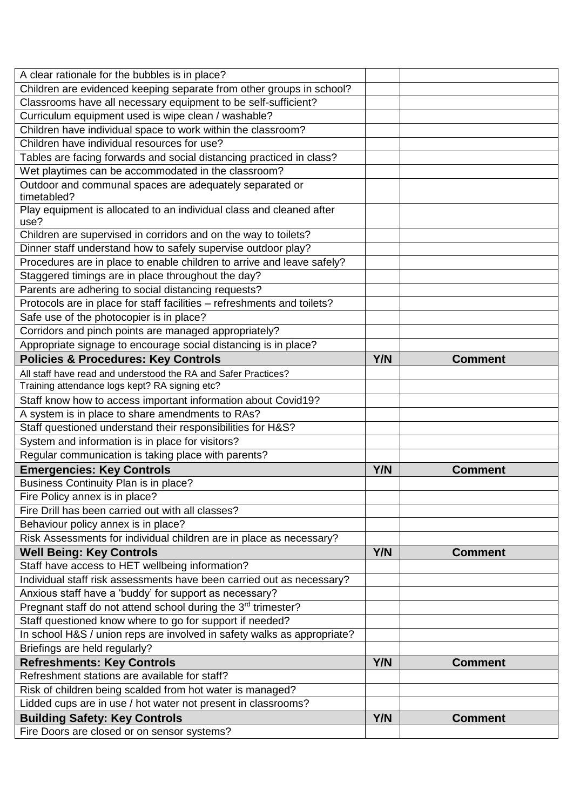| A clear rationale for the bubbles is in place?                               |     |                |
|------------------------------------------------------------------------------|-----|----------------|
| Children are evidenced keeping separate from other groups in school?         |     |                |
| Classrooms have all necessary equipment to be self-sufficient?               |     |                |
| Curriculum equipment used is wipe clean / washable?                          |     |                |
| Children have individual space to work within the classroom?                 |     |                |
| Children have individual resources for use?                                  |     |                |
| Tables are facing forwards and social distancing practiced in class?         |     |                |
| Wet playtimes can be accommodated in the classroom?                          |     |                |
| Outdoor and communal spaces are adequately separated or<br>timetabled?       |     |                |
| Play equipment is allocated to an individual class and cleaned after<br>use? |     |                |
| Children are supervised in corridors and on the way to toilets?              |     |                |
| Dinner staff understand how to safely supervise outdoor play?                |     |                |
| Procedures are in place to enable children to arrive and leave safely?       |     |                |
| Staggered timings are in place throughout the day?                           |     |                |
| Parents are adhering to social distancing requests?                          |     |                |
| Protocols are in place for staff facilities - refreshments and toilets?      |     |                |
| Safe use of the photocopier is in place?                                     |     |                |
| Corridors and pinch points are managed appropriately?                        |     |                |
| Appropriate signage to encourage social distancing is in place?              |     |                |
| <b>Policies &amp; Procedures: Key Controls</b>                               | Y/N | <b>Comment</b> |
| All staff have read and understood the RA and Safer Practices?               |     |                |
| Training attendance logs kept? RA signing etc?                               |     |                |
| Staff know how to access important information about Covid19?                |     |                |
| A system is in place to share amendments to RAs?                             |     |                |
| Staff questioned understand their responsibilities for H&S?                  |     |                |
| System and information is in place for visitors?                             |     |                |
| Regular communication is taking place with parents?                          |     |                |
| <b>Emergencies: Key Controls</b>                                             | Y/N | <b>Comment</b> |
| Business Continuity Plan is in place?                                        |     |                |
| Fire Policy annex is in place?                                               |     |                |
| Fire Drill has been carried out with all classes?                            |     |                |
| Behaviour policy annex is in place?                                          |     |                |
| Risk Assessments for individual children are in place as necessary?          |     |                |
| <b>Well Being: Key Controls</b>                                              | Y/N | <b>Comment</b> |
| Staff have access to HET wellbeing information?                              |     |                |
| Individual staff risk assessments have been carried out as necessary?        |     |                |
| Anxious staff have a 'buddy' for support as necessary?                       |     |                |
| Pregnant staff do not attend school during the 3rd trimester?                |     |                |
| Staff questioned know where to go for support if needed?                     |     |                |
| In school H&S / union reps are involved in safety walks as appropriate?      |     |                |
| Briefings are held regularly?                                                |     |                |
| <b>Refreshments: Key Controls</b>                                            | Y/N | <b>Comment</b> |
| Refreshment stations are available for staff?                                |     |                |
| Risk of children being scalded from hot water is managed?                    |     |                |
| Lidded cups are in use / hot water not present in classrooms?                |     |                |
| <b>Building Safety: Key Controls</b>                                         | Y/N | <b>Comment</b> |
| Fire Doors are closed or on sensor systems?                                  |     |                |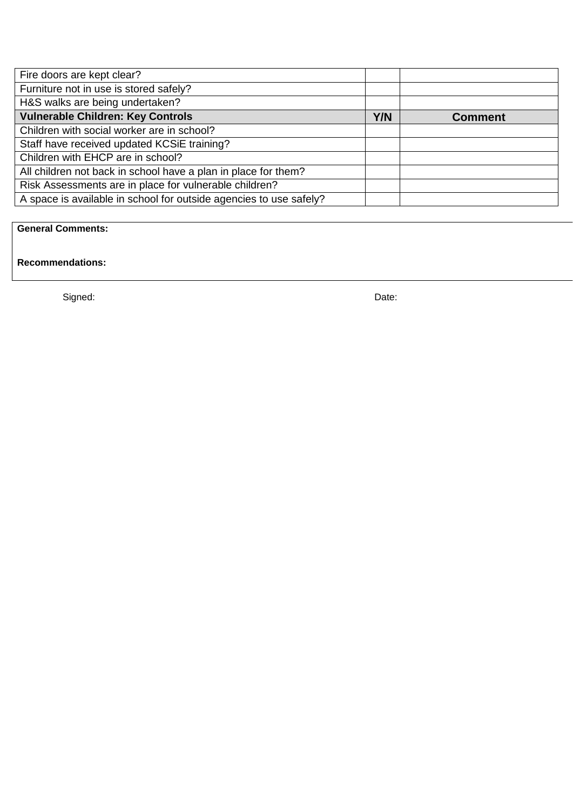| Fire doors are kept clear?                                         |     |                |
|--------------------------------------------------------------------|-----|----------------|
| Furniture not in use is stored safely?                             |     |                |
| H&S walks are being undertaken?                                    |     |                |
| <b>Vulnerable Children: Key Controls</b>                           | Y/N | <b>Comment</b> |
| Children with social worker are in school?                         |     |                |
| Staff have received updated KCSiE training?                        |     |                |
| Children with EHCP are in school?                                  |     |                |
| All children not back in school have a plan in place for them?     |     |                |
| Risk Assessments are in place for vulnerable children?             |     |                |
| A space is available in school for outside agencies to use safely? |     |                |

## **General Comments:**

**Recommendations:**

Signed: Date: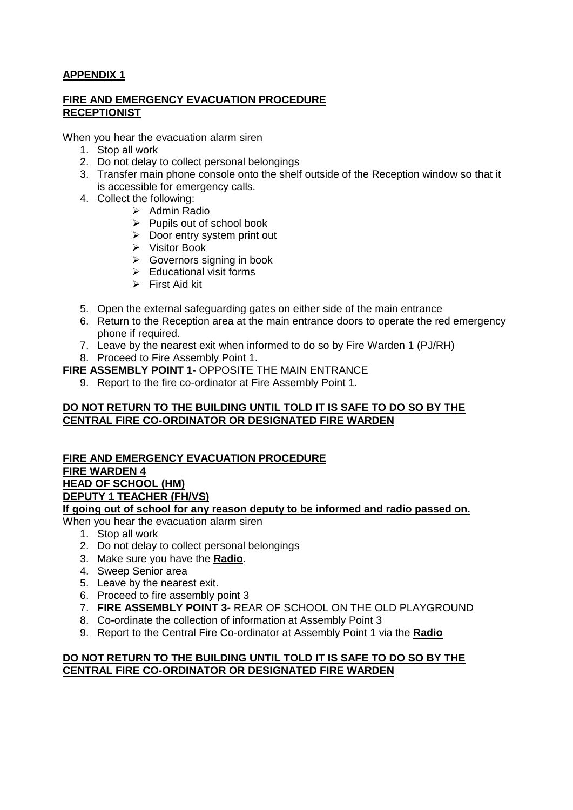### **APPENDIX 1**

#### **FIRE AND EMERGENCY EVACUATION PROCEDURE RECEPTIONIST**

When you hear the evacuation alarm siren

- 1. Stop all work
- 2. Do not delay to collect personal belongings
- 3. Transfer main phone console onto the shelf outside of the Reception window so that it is accessible for emergency calls.
- 4. Collect the following:
	- ➢ Admin Radio
	- ➢ Pupils out of school book
	- ➢ Door entry system print out
	- ➢ Visitor Book
	- ➢ Governors signing in book
	- $\triangleright$  Educational visit forms
	- ➢ First Aid kit
- 5. Open the external safeguarding gates on either side of the main entrance
- 6. Return to the Reception area at the main entrance doors to operate the red emergency phone if required.
- 7. Leave by the nearest exit when informed to do so by Fire Warden 1 (PJ/RH)
- 8. Proceed to Fire Assembly Point 1.
- **FIRE ASSEMBLY POINT 1** OPPOSITE THE MAIN ENTRANCE
	- 9. Report to the fire co-ordinator at Fire Assembly Point 1.

#### **DO NOT RETURN TO THE BUILDING UNTIL TOLD IT IS SAFE TO DO SO BY THE CENTRAL FIRE CO-ORDINATOR OR DESIGNATED FIRE WARDEN**

## **FIRE AND EMERGENCY EVACUATION PROCEDURE FIRE WARDEN 4 HEAD OF SCHOOL (HM) DEPUTY 1 TEACHER (FH/VS)**

**If going out of school for any reason deputy to be informed and radio passed on.**

When you hear the evacuation alarm siren

- 1. Stop all work
- 2. Do not delay to collect personal belongings
- 3. Make sure you have the **Radio**.
- 4. Sweep Senior area
- 5. Leave by the nearest exit.
- 6. Proceed to fire assembly point 3
- 7. **FIRE ASSEMBLY POINT 3-** REAR OF SCHOOL ON THE OLD PLAYGROUND
- 8. Co-ordinate the collection of information at Assembly Point 3
- 9. Report to the Central Fire Co-ordinator at Assembly Point 1 via the **Radio**

#### **DO NOT RETURN TO THE BUILDING UNTIL TOLD IT IS SAFE TO DO SO BY THE CENTRAL FIRE CO-ORDINATOR OR DESIGNATED FIRE WARDEN**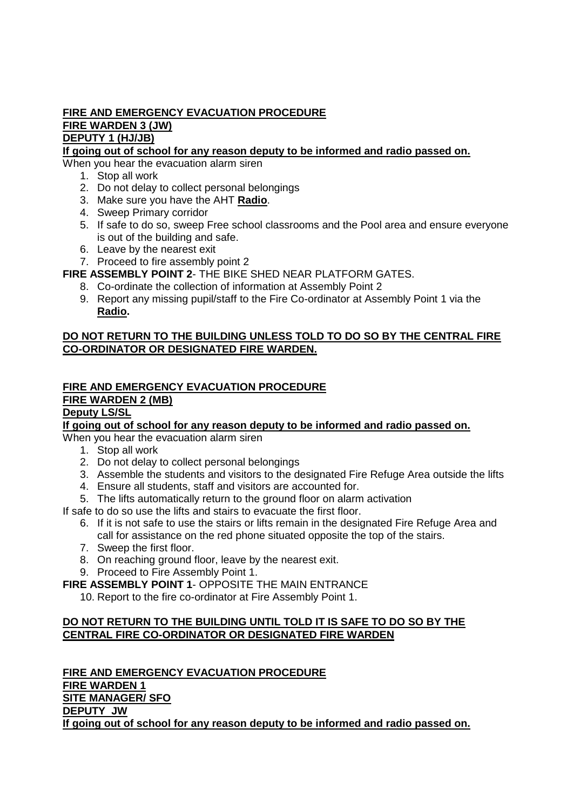## **FIRE AND EMERGENCY EVACUATION PROCEDURE FIRE WARDEN 3 (JW) DEPUTY 1 (HJ/JB)**

**If going out of school for any reason deputy to be informed and radio passed on.**

When you hear the evacuation alarm siren

- 1. Stop all work
- 2. Do not delay to collect personal belongings
- 3. Make sure you have the AHT **Radio**.
- 4. Sweep Primary corridor
- 5. If safe to do so, sweep Free school classrooms and the Pool area and ensure everyone is out of the building and safe.
- 6. Leave by the nearest exit
- 7. Proceed to fire assembly point 2

**FIRE ASSEMBLY POINT 2**- THE BIKE SHED NEAR PLATFORM GATES.

- 8. Co-ordinate the collection of information at Assembly Point 2
- 9. Report any missing pupil/staff to the Fire Co-ordinator at Assembly Point 1 via the **Radio.**

#### **DO NOT RETURN TO THE BUILDING UNLESS TOLD TO DO SO BY THE CENTRAL FIRE CO-ORDINATOR OR DESIGNATED FIRE WARDEN.**

#### **FIRE AND EMERGENCY EVACUATION PROCEDURE FIRE WARDEN 2 (MB)**

## **Deputy LS/SL**

**If going out of school for any reason deputy to be informed and radio passed on.**

When you hear the evacuation alarm siren

- 1. Stop all work
- 2. Do not delay to collect personal belongings
- 3. Assemble the students and visitors to the designated Fire Refuge Area outside the lifts
- 4. Ensure all students, staff and visitors are accounted for.
- 5. The lifts automatically return to the ground floor on alarm activation

If safe to do so use the lifts and stairs to evacuate the first floor.

- 6. If it is not safe to use the stairs or lifts remain in the designated Fire Refuge Area and call for assistance on the red phone situated opposite the top of the stairs.
- 7. Sweep the first floor.
- 8. On reaching ground floor, leave by the nearest exit.
- 9. Proceed to Fire Assembly Point 1.

**FIRE ASSEMBLY POINT 1**- OPPOSITE THE MAIN ENTRANCE

10. Report to the fire co-ordinator at Fire Assembly Point 1.

#### **DO NOT RETURN TO THE BUILDING UNTIL TOLD IT IS SAFE TO DO SO BY THE CENTRAL FIRE CO-ORDINATOR OR DESIGNATED FIRE WARDEN**

**FIRE AND EMERGENCY EVACUATION PROCEDURE FIRE WARDEN 1 SITE MANAGER/ SFO DEPUTY JW If going out of school for any reason deputy to be informed and radio passed on.**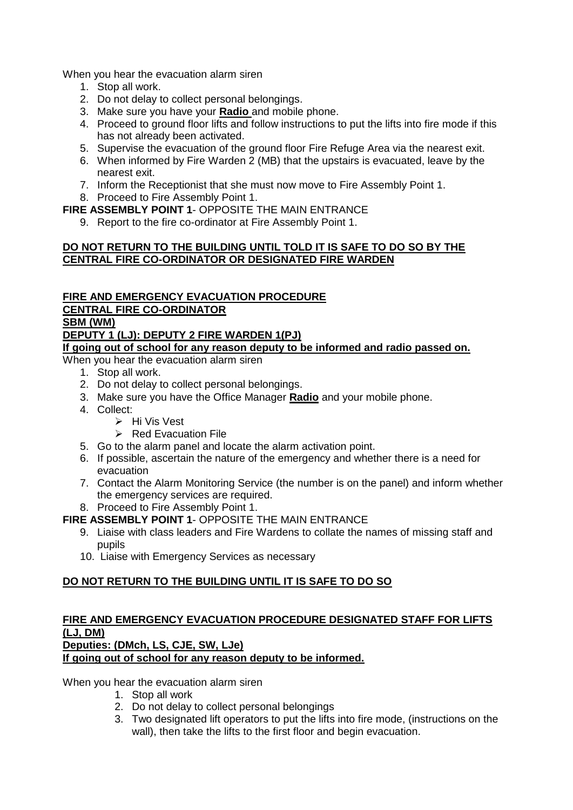When you hear the evacuation alarm siren

- 1. Stop all work.
- 2. Do not delay to collect personal belongings.
- 3. Make sure you have your **Radio** and mobile phone.
- 4. Proceed to ground floor lifts and follow instructions to put the lifts into fire mode if this has not already been activated.
- 5. Supervise the evacuation of the ground floor Fire Refuge Area via the nearest exit.
- 6. When informed by Fire Warden 2 (MB) that the upstairs is evacuated, leave by the nearest exit.
- 7. Inform the Receptionist that she must now move to Fire Assembly Point 1.
- 8. Proceed to Fire Assembly Point 1.

**FIRE ASSEMBLY POINT 1**- OPPOSITE THE MAIN ENTRANCE

9. Report to the fire co-ordinator at Fire Assembly Point 1.

#### **DO NOT RETURN TO THE BUILDING UNTIL TOLD IT IS SAFE TO DO SO BY THE CENTRAL FIRE CO-ORDINATOR OR DESIGNATED FIRE WARDEN**

## **FIRE AND EMERGENCY EVACUATION PROCEDURE**

#### **CENTRAL FIRE CO-ORDINATOR**

#### **SBM (WM)**

### **DEPUTY 1 (LJ): DEPUTY 2 FIRE WARDEN 1(PJ)**

#### **If going out of school for any reason deputy to be informed and radio passed on.**

When you hear the evacuation alarm siren

- 1. Stop all work.
- 2. Do not delay to collect personal belongings.
- 3. Make sure you have the Office Manager **Radio** and your mobile phone.
- 4. Collect:
	- ➢ Hi Vis Vest
	- ➢ Red Evacuation File
- 5. Go to the alarm panel and locate the alarm activation point.
- 6. If possible, ascertain the nature of the emergency and whether there is a need for evacuation
- 7. Contact the Alarm Monitoring Service (the number is on the panel) and inform whether the emergency services are required.
- 8. Proceed to Fire Assembly Point 1.
- **FIRE ASSEMBLY POINT 1** OPPOSITE THE MAIN ENTRANCE
	- 9. Liaise with class leaders and Fire Wardens to collate the names of missing staff and pupils
	- 10. Liaise with Emergency Services as necessary

## **DO NOT RETURN TO THE BUILDING UNTIL IT IS SAFE TO DO SO**

#### **FIRE AND EMERGENCY EVACUATION PROCEDURE DESIGNATED STAFF FOR LIFTS (LJ, DM) Deputies: (DMch, LS, CJE, SW, LJe)**

#### **If going out of school for any reason deputy to be informed.**

When you hear the evacuation alarm siren

- 1. Stop all work
- 2. Do not delay to collect personal belongings
- 3. Two designated lift operators to put the lifts into fire mode, (instructions on the wall), then take the lifts to the first floor and begin evacuation.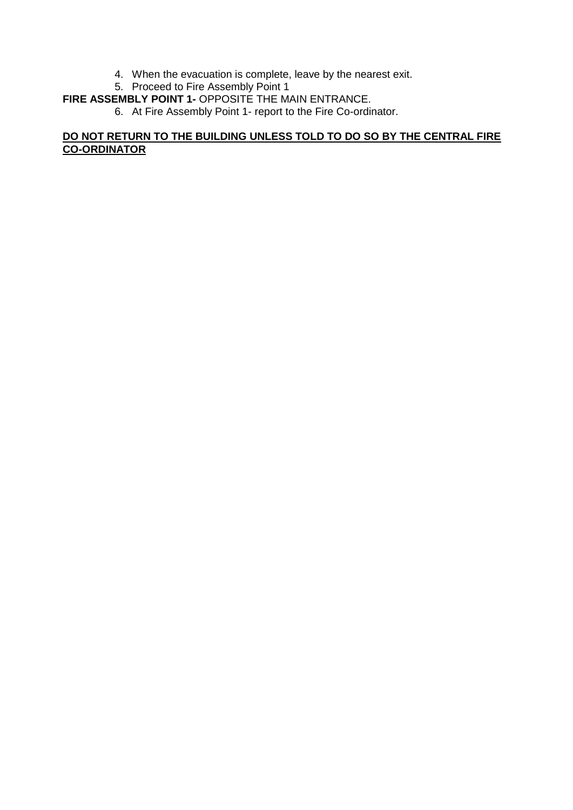- 4. When the evacuation is complete, leave by the nearest exit.
- 5. Proceed to Fire Assembly Point 1

#### **FIRE ASSEMBLY POINT 1-** OPPOSITE THE MAIN ENTRANCE.

6. At Fire Assembly Point 1- report to the Fire Co-ordinator.

## **DO NOT RETURN TO THE BUILDING UNLESS TOLD TO DO SO BY THE CENTRAL FIRE CO-ORDINATOR**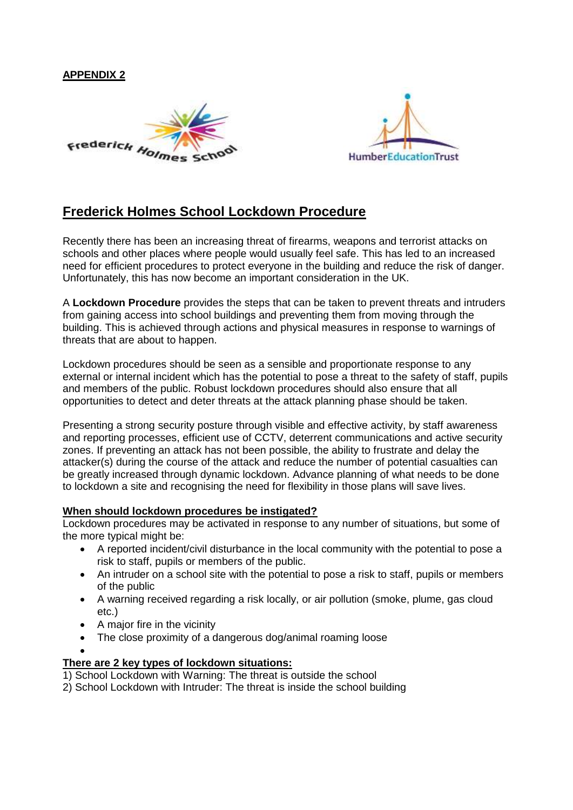#### **APPENDIX 2**





## **Frederick Holmes School Lockdown Procedure**

Recently there has been an increasing threat of firearms, weapons and terrorist attacks on schools and other places where people would usually feel safe. This has led to an increased need for efficient procedures to protect everyone in the building and reduce the risk of danger. Unfortunately, this has now become an important consideration in the UK.

A **Lockdown Procedure** provides the steps that can be taken to prevent threats and intruders from gaining access into school buildings and preventing them from moving through the building. This is achieved through actions and physical measures in response to warnings of threats that are about to happen.

Lockdown procedures should be seen as a sensible and proportionate response to any external or internal incident which has the potential to pose a threat to the safety of staff, pupils and members of the public. Robust lockdown procedures should also ensure that all opportunities to detect and deter threats at the attack planning phase should be taken.

Presenting a strong security posture through visible and effective activity, by staff awareness and reporting processes, efficient use of CCTV, deterrent communications and active security zones. If preventing an attack has not been possible, the ability to frustrate and delay the attacker(s) during the course of the attack and reduce the number of potential casualties can be greatly increased through dynamic lockdown. Advance planning of what needs to be done to lockdown a site and recognising the need for flexibility in those plans will save lives.

#### **When should lockdown procedures be instigated?**

Lockdown procedures may be activated in response to any number of situations, but some of the more typical might be:

- A reported incident/civil disturbance in the local community with the potential to pose a risk to staff, pupils or members of the public.
- An intruder on a school site with the potential to pose a risk to staff, pupils or members of the public
- A warning received regarding a risk locally, or air pollution (smoke, plume, gas cloud etc.)
- A major fire in the vicinity
- The close proximity of a dangerous dog/animal roaming loose
- •

#### **There are 2 key types of lockdown situations:**

- 1) School Lockdown with Warning: The threat is outside the school
- 2) School Lockdown with Intruder: The threat is inside the school building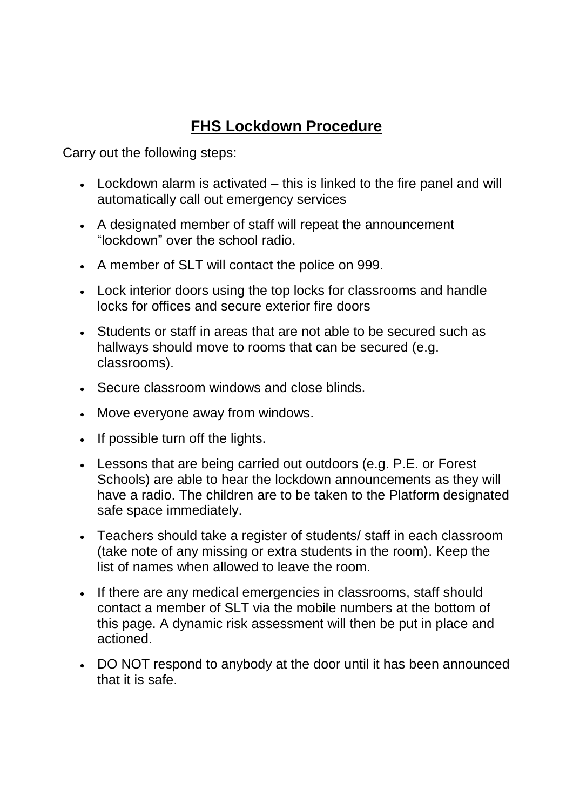## **FHS Lockdown Procedure**

Carry out the following steps:

- Lockdown alarm is activated this is linked to the fire panel and will automatically call out emergency services
- A designated member of staff will repeat the announcement "lockdown" over the school radio.
- A member of SLT will contact the police on 999.
- Lock interior doors using the top locks for classrooms and handle locks for offices and secure exterior fire doors
- Students or staff in areas that are not able to be secured such as hallways should move to rooms that can be secured (e.g. classrooms).
- Secure classroom windows and close blinds.
- Move everyone away from windows.
- If possible turn off the lights.
- Lessons that are being carried out outdoors (e.g. P.E. or Forest Schools) are able to hear the lockdown announcements as they will have a radio. The children are to be taken to the Platform designated safe space immediately.
- Teachers should take a register of students/ staff in each classroom (take note of any missing or extra students in the room). Keep the list of names when allowed to leave the room.
- If there are any medical emergencies in classrooms, staff should contact a member of SLT via the mobile numbers at the bottom of this page. A dynamic risk assessment will then be put in place and actioned.
- DO NOT respond to anybody at the door until it has been announced that it is safe.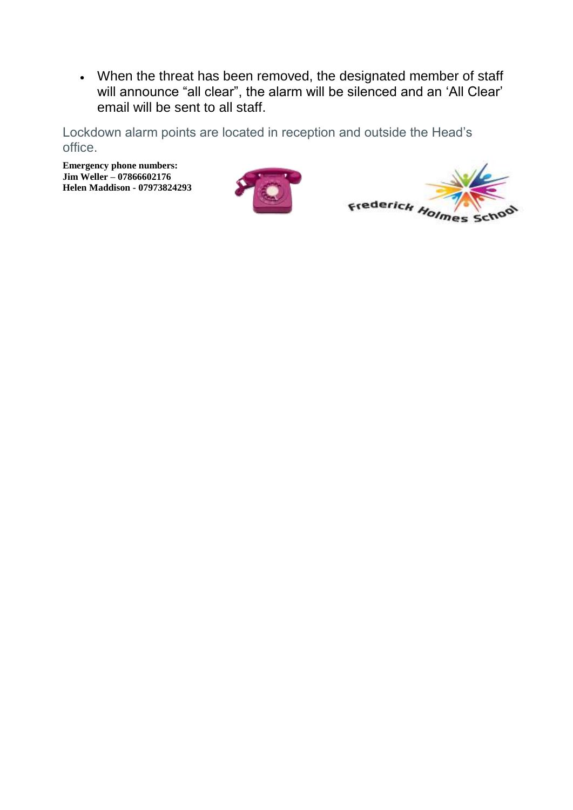• When the threat has been removed, the designated member of staff will announce "all clear", the alarm will be silenced and an 'All Clear' email will be sent to all staff.

Lockdown alarm points are located in reception and outside the Head's office.

**Emergency phone numbers: Jim Weller – 07866602176 Helen Maddison - 07973824293**



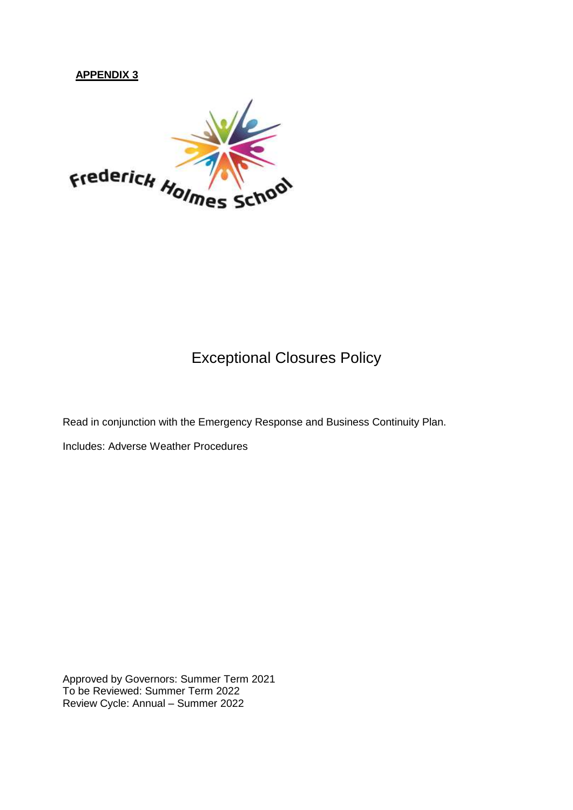#### **APPENDIX 3**



## Exceptional Closures Policy

Read in conjunction with the Emergency Response and Business Continuity Plan.

Includes: Adverse Weather Procedures

Approved by Governors: Summer Term 2021 To be Reviewed: Summer Term 2022 Review Cycle: Annual – Summer 2022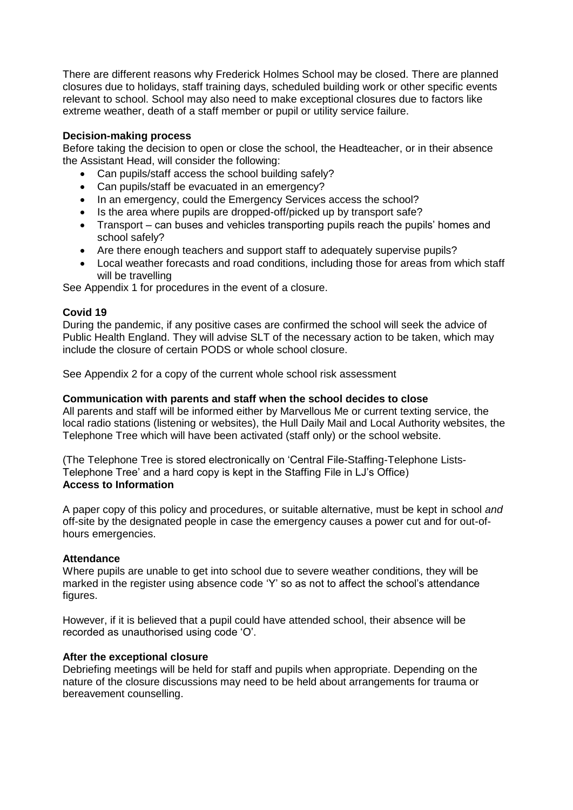There are different reasons why Frederick Holmes School may be closed. There are planned closures due to holidays, staff training days, scheduled building work or other specific events relevant to school. School may also need to make exceptional closures due to factors like extreme weather, death of a staff member or pupil or utility service failure.

#### **Decision-making process**

Before taking the decision to open or close the school, the Headteacher, or in their absence the Assistant Head, will consider the following:

- Can pupils/staff access the school building safely?
- Can pupils/staff be evacuated in an emergency?
- In an emergency, could the Emergency Services access the school?
- Is the area where pupils are dropped-off/picked up by transport safe?
- Transport can buses and vehicles transporting pupils reach the pupils' homes and school safely?
- Are there enough teachers and support staff to adequately supervise pupils?
- Local weather forecasts and road conditions, including those for areas from which staff will be travelling

See Appendix 1 for procedures in the event of a closure.

#### **Covid 19**

During the pandemic, if any positive cases are confirmed the school will seek the advice of Public Health England. They will advise SLT of the necessary action to be taken, which may include the closure of certain PODS or whole school closure.

See Appendix 2 for a copy of the current whole school risk assessment

#### **Communication with parents and staff when the school decides to close**

All parents and staff will be informed either by Marvellous Me or current texting service, the local radio stations (listening or websites), the Hull Daily Mail and Local Authority websites, the Telephone Tree which will have been activated (staff only) or the school website.

(The Telephone Tree is stored electronically on 'Central File-Staffing-Telephone Lists-Telephone Tree' and a hard copy is kept in the Staffing File in LJ's Office) **Access to Information**

A paper copy of this policy and procedures, or suitable alternative, must be kept in school *and* off-site by the designated people in case the emergency causes a power cut and for out-ofhours emergencies.

#### **Attendance**

Where pupils are unable to get into school due to severe weather conditions, they will be marked in the register using absence code 'Y' so as not to affect the school's attendance figures.

However, if it is believed that a pupil could have attended school, their absence will be recorded as unauthorised using code 'O'.

#### **After the exceptional closure**

Debriefing meetings will be held for staff and pupils when appropriate. Depending on the nature of the closure discussions may need to be held about arrangements for trauma or bereavement counselling.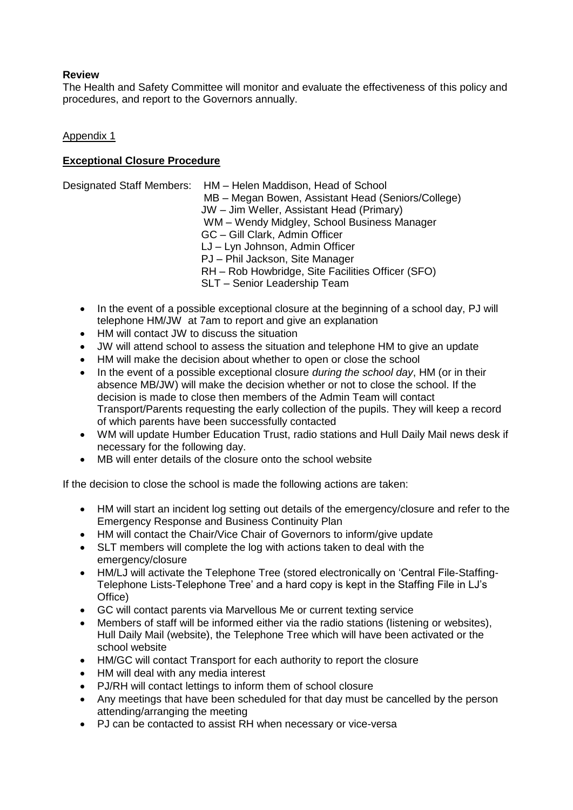#### **Review**

The Health and Safety Committee will monitor and evaluate the effectiveness of this policy and procedures, and report to the Governors annually.

#### Appendix 1

#### **Exceptional Closure Procedure**

|  | Designated Staff Members: HM - Helen Maddison, Head of School<br>MB - Megan Bowen, Assistant Head (Seniors/College)<br>JW - Jim Weller, Assistant Head (Primary)<br>WM - Wendy Midgley, School Business Manager<br>GC - Gill Clark, Admin Officer<br>LJ - Lyn Johnson, Admin Officer<br>PJ - Phil Jackson, Site Manager<br>RH - Rob Howbridge, Site Facilities Officer (SFO)<br>SLT - Senior Leadership Team |
|--|--------------------------------------------------------------------------------------------------------------------------------------------------------------------------------------------------------------------------------------------------------------------------------------------------------------------------------------------------------------------------------------------------------------|
|--|--------------------------------------------------------------------------------------------------------------------------------------------------------------------------------------------------------------------------------------------------------------------------------------------------------------------------------------------------------------------------------------------------------------|

- In the event of a possible exceptional closure at the beginning of a school day, PJ will telephone HM/JW at 7am to report and give an explanation
- HM will contact JW to discuss the situation
- JW will attend school to assess the situation and telephone HM to give an update
- HM will make the decision about whether to open or close the school
- In the event of a possible exceptional closure *during the school day*, HM (or in their absence MB/JW) will make the decision whether or not to close the school. If the decision is made to close then members of the Admin Team will contact Transport/Parents requesting the early collection of the pupils. They will keep a record of which parents have been successfully contacted
- WM will update Humber Education Trust, radio stations and Hull Daily Mail news desk if necessary for the following day.
- MB will enter details of the closure onto the school website

If the decision to close the school is made the following actions are taken:

- HM will start an incident log setting out details of the emergency/closure and refer to the Emergency Response and Business Continuity Plan
- HM will contact the Chair/Vice Chair of Governors to inform/give update
- SLT members will complete the log with actions taken to deal with the emergency/closure
- HM/LJ will activate the Telephone Tree (stored electronically on 'Central File-Staffing-Telephone Lists-Telephone Tree' and a hard copy is kept in the Staffing File in LJ's Office)
- GC will contact parents via Marvellous Me or current texting service
- Members of staff will be informed either via the radio stations (listening or websites), Hull Daily Mail (website), the Telephone Tree which will have been activated or the school website
- HM/GC will contact Transport for each authority to report the closure
- HM will deal with any media interest
- PJ/RH will contact lettings to inform them of school closure
- Any meetings that have been scheduled for that day must be cancelled by the person attending/arranging the meeting
- PJ can be contacted to assist RH when necessary or vice-versa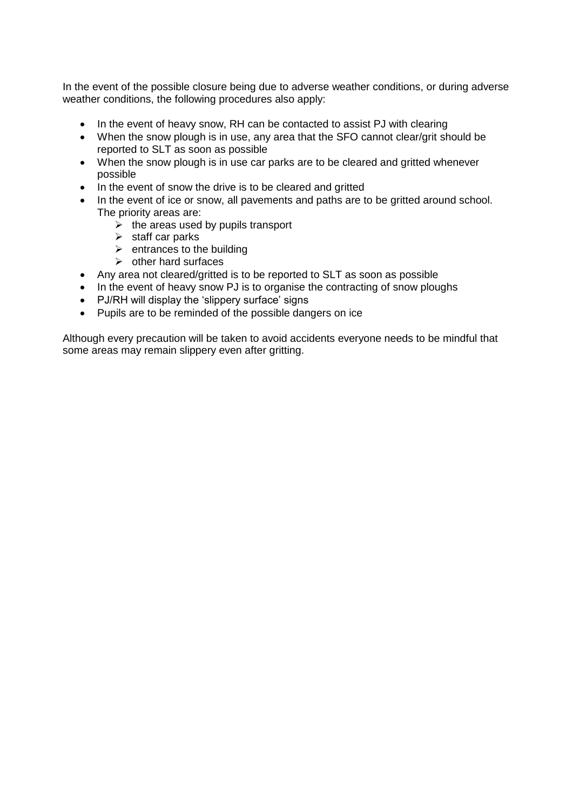In the event of the possible closure being due to adverse weather conditions, or during adverse weather conditions, the following procedures also apply:

- In the event of heavy snow, RH can be contacted to assist PJ with clearing
- When the snow plough is in use, any area that the SFO cannot clear/grit should be reported to SLT as soon as possible
- When the snow plough is in use car parks are to be cleared and gritted whenever possible
- In the event of snow the drive is to be cleared and gritted
- In the event of ice or snow, all pavements and paths are to be gritted around school. The priority areas are:
	- $\triangleright$  the areas used by pupils transport
	- $\triangleright$  staff car parks
	- $\triangleright$  entrances to the building
	- $\triangleright$  other hard surfaces
- Any area not cleared/gritted is to be reported to SLT as soon as possible
- In the event of heavy snow PJ is to organise the contracting of snow ploughs
- PJ/RH will display the 'slippery surface' signs
- Pupils are to be reminded of the possible dangers on ice

Although every precaution will be taken to avoid accidents everyone needs to be mindful that some areas may remain slippery even after gritting.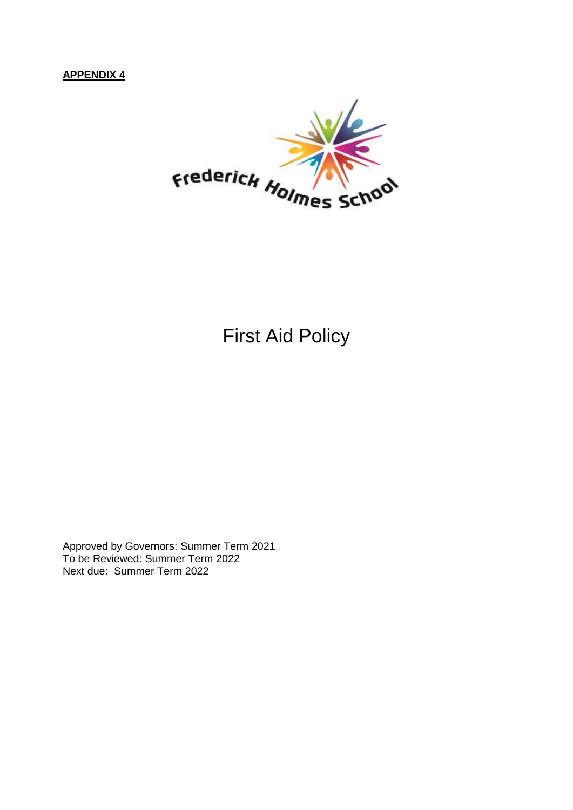## **APPENDIX 4**



## First Aid Policy

Approved by Governors: Summer Term 2021 To be Reviewed: Summer Term 2022 Next due: Summer Term 2022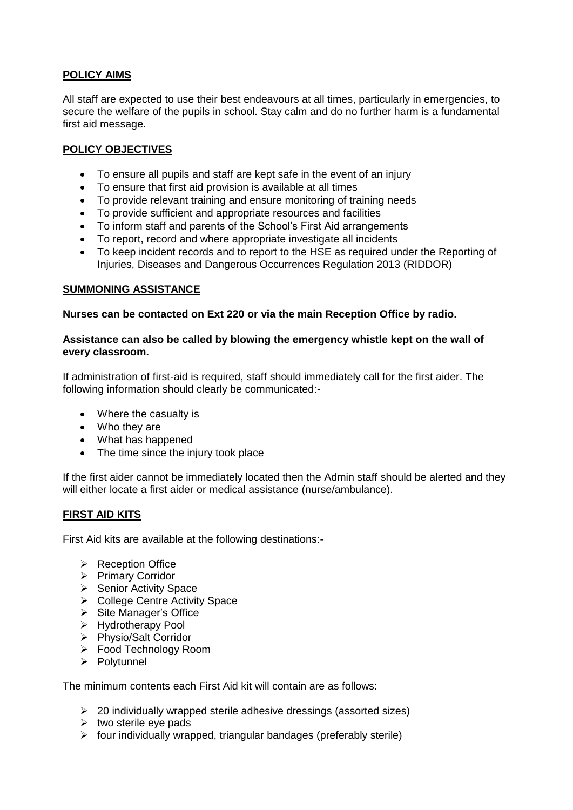#### **POLICY AIMS**

All staff are expected to use their best endeavours at all times, particularly in emergencies, to secure the welfare of the pupils in school. Stay calm and do no further harm is a fundamental first aid message.

#### **POLICY OBJECTIVES**

- To ensure all pupils and staff are kept safe in the event of an injury
- To ensure that first aid provision is available at all times
- To provide relevant training and ensure monitoring of training needs
- To provide sufficient and appropriate resources and facilities
- To inform staff and parents of the School's First Aid arrangements
- To report, record and where appropriate investigate all incidents
- To keep incident records and to report to the HSE as required under the Reporting of Injuries, Diseases and Dangerous Occurrences Regulation 2013 (RIDDOR)

#### **SUMMONING ASSISTANCE**

#### **Nurses can be contacted on Ext 220 or via the main Reception Office by radio.**

#### **Assistance can also be called by blowing the emergency whistle kept on the wall of every classroom.**

If administration of first-aid is required, staff should immediately call for the first aider. The following information should clearly be communicated:-

- Where the casualty is
- Who they are
- What has happened
- The time since the injury took place

If the first aider cannot be immediately located then the Admin staff should be alerted and they will either locate a first aider or medical assistance (nurse/ambulance).

#### **FIRST AID KITS**

First Aid kits are available at the following destinations:-

- ➢ Reception Office
- ➢ Primary Corridor
- ➢ Senior Activity Space
- ➢ College Centre Activity Space
- ➢ Site Manager's Office
- ➢ Hydrotherapy Pool
- ➢ Physio/Salt Corridor
- ➢ Food Technology Room
- ➢ Polytunnel

The minimum contents each First Aid kit will contain are as follows:

- ➢ 20 individually wrapped sterile adhesive dressings (assorted sizes)
- $\triangleright$  two sterile eye pads
- $\triangleright$  four individually wrapped, triangular bandages (preferably sterile)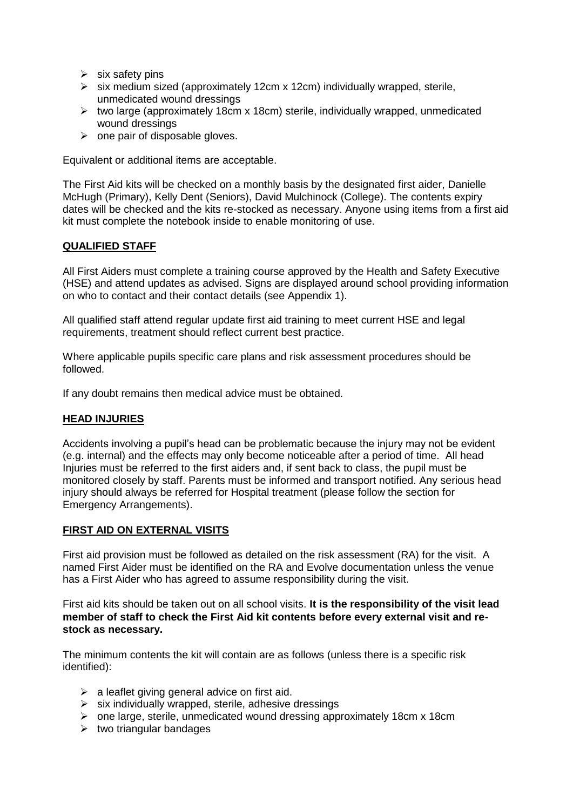- $\triangleright$  six safety pins
- ➢ six medium sized (approximately 12cm x 12cm) individually wrapped, sterile, unmedicated wound dressings
- ➢ two large (approximately 18cm x 18cm) sterile, individually wrapped, unmedicated wound dressings
- $\triangleright$  one pair of disposable gloves.

Equivalent or additional items are acceptable.

The First Aid kits will be checked on a monthly basis by the designated first aider, Danielle McHugh (Primary), Kelly Dent (Seniors), David Mulchinock (College). The contents expiry dates will be checked and the kits re-stocked as necessary. Anyone using items from a first aid kit must complete the notebook inside to enable monitoring of use.

#### **QUALIFIED STAFF**

All First Aiders must complete a training course approved by the Health and Safety Executive (HSE) and attend updates as advised. Signs are displayed around school providing information on who to contact and their contact details (see Appendix 1).

All qualified staff attend regular update first aid training to meet current HSE and legal requirements, treatment should reflect current best practice.

Where applicable pupils specific care plans and risk assessment procedures should be followed.

If any doubt remains then medical advice must be obtained.

#### **HEAD INJURIES**

Accidents involving a pupil's head can be problematic because the injury may not be evident (e.g. internal) and the effects may only become noticeable after a period of time. All head Injuries must be referred to the first aiders and, if sent back to class, the pupil must be monitored closely by staff. Parents must be informed and transport notified. Any serious head injury should always be referred for Hospital treatment (please follow the section for Emergency Arrangements).

#### **FIRST AID ON EXTERNAL VISITS**

First aid provision must be followed as detailed on the risk assessment (RA) for the visit. A named First Aider must be identified on the RA and Evolve documentation unless the venue has a First Aider who has agreed to assume responsibility during the visit.

First aid kits should be taken out on all school visits. **It is the responsibility of the visit lead member of staff to check the First Aid kit contents before every external visit and restock as necessary.**

The minimum contents the kit will contain are as follows (unless there is a specific risk identified):

- $\triangleright$  a leaflet giving general advice on first aid.
- $\triangleright$  six individually wrapped, sterile, adhesive dressings
- $\triangleright$  one large, sterile, unmedicated wound dressing approximately 18cm x 18cm
- $\triangleright$  two triangular bandages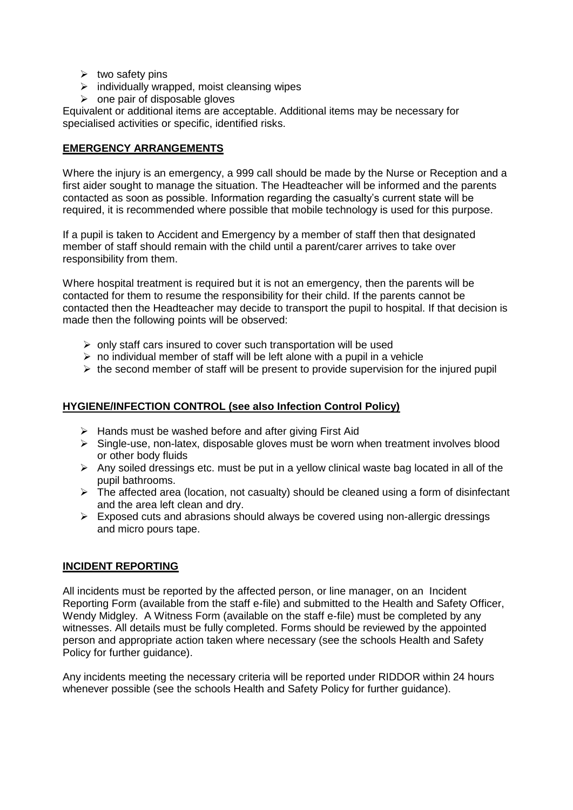- $\triangleright$  two safety pins
- $\triangleright$  individually wrapped, moist cleansing wipes
- $\triangleright$  one pair of disposable gloves

Equivalent or additional items are acceptable. Additional items may be necessary for specialised activities or specific, identified risks.

#### **EMERGENCY ARRANGEMENTS**

Where the injury is an emergency, a 999 call should be made by the Nurse or Reception and a first aider sought to manage the situation. The Headteacher will be informed and the parents contacted as soon as possible. Information regarding the casualty's current state will be required, it is recommended where possible that mobile technology is used for this purpose.

If a pupil is taken to Accident and Emergency by a member of staff then that designated member of staff should remain with the child until a parent/carer arrives to take over responsibility from them.

Where hospital treatment is required but it is not an emergency, then the parents will be contacted for them to resume the responsibility for their child. If the parents cannot be contacted then the Headteacher may decide to transport the pupil to hospital. If that decision is made then the following points will be observed:

- $\triangleright$  only staff cars insured to cover such transportation will be used
- $\triangleright$  no individual member of staff will be left alone with a pupil in a vehicle
- $\triangleright$  the second member of staff will be present to provide supervision for the injured pupil

#### **HYGIENE/INFECTION CONTROL (see also Infection Control Policy)**

- ➢ Hands must be washed before and after giving First Aid
- $\triangleright$  Single-use, non-latex, disposable gloves must be worn when treatment involves blood or other body fluids
- ➢ Any soiled dressings etc. must be put in a yellow clinical waste bag located in all of the pupil bathrooms.
- ➢ The affected area (location, not casualty) should be cleaned using a form of disinfectant and the area left clean and dry.
- $\triangleright$  Exposed cuts and abrasions should always be covered using non-allergic dressings and micro pours tape.

#### **INCIDENT REPORTING**

All incidents must be reported by the affected person, or line manager, on an Incident Reporting Form (available from the staff e-file) and submitted to the Health and Safety Officer, Wendy Midgley. A Witness Form (available on the staff e-file) must be completed by any witnesses. All details must be fully completed. Forms should be reviewed by the appointed person and appropriate action taken where necessary (see the schools Health and Safety Policy for further guidance).

Any incidents meeting the necessary criteria will be reported under RIDDOR within 24 hours whenever possible (see the schools Health and Safety Policy for further guidance).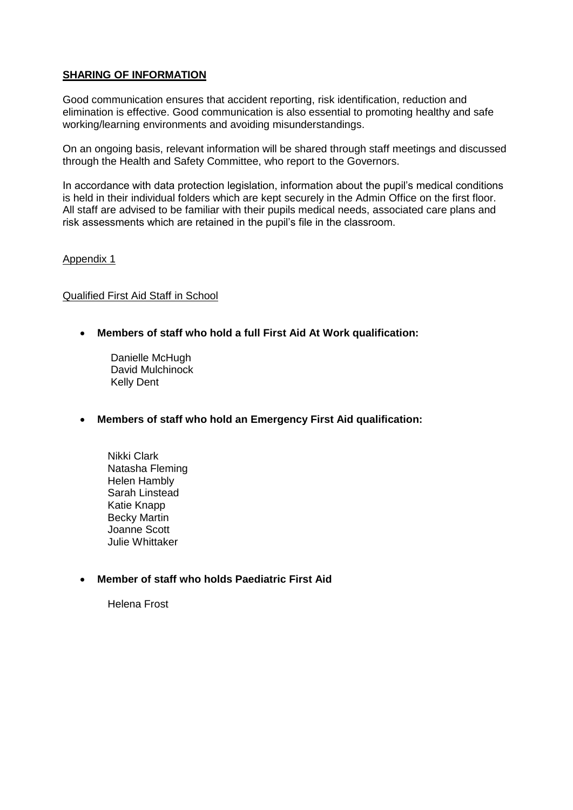#### **SHARING OF INFORMATION**

Good communication ensures that accident reporting, risk identification, reduction and elimination is effective. Good communication is also essential to promoting healthy and safe working/learning environments and avoiding misunderstandings.

On an ongoing basis, relevant information will be shared through staff meetings and discussed through the Health and Safety Committee, who report to the Governors.

In accordance with data protection legislation, information about the pupil's medical conditions is held in their individual folders which are kept securely in the Admin Office on the first floor. All staff are advised to be familiar with their pupils medical needs, associated care plans and risk assessments which are retained in the pupil's file in the classroom.

#### Appendix 1

#### Qualified First Aid Staff in School

- **Members of staff who hold a full First Aid At Work qualification:**
	- Danielle McHugh David Mulchinock Kelly Dent
- **Members of staff who hold an Emergency First Aid qualification:**
	- Nikki Clark Natasha Fleming Helen Hambly Sarah Linstead Katie Knapp Becky Martin Joanne Scott Julie Whittaker

### • **Member of staff who holds Paediatric First Aid**

Helena Frost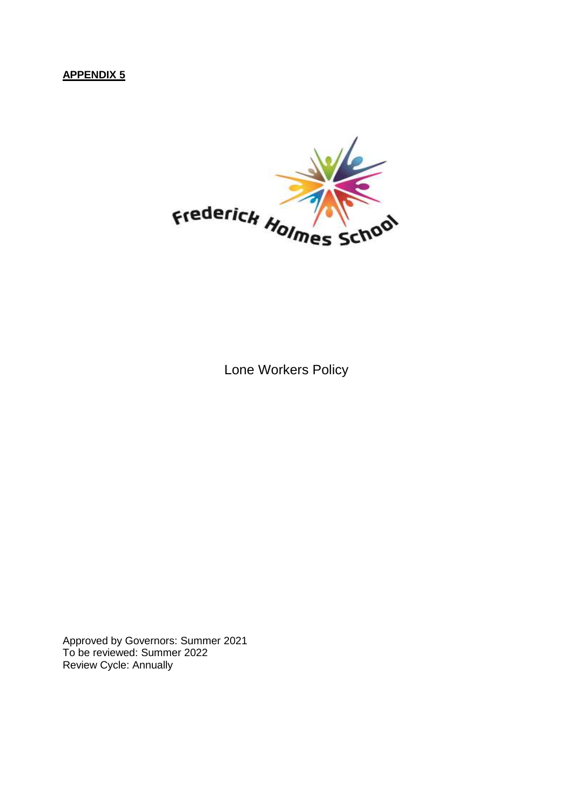## **APPENDIX 5**



Lone Workers Policy

Approved by Governors: Summer 2021 To be reviewed: Summer 2022 Review Cycle: Annually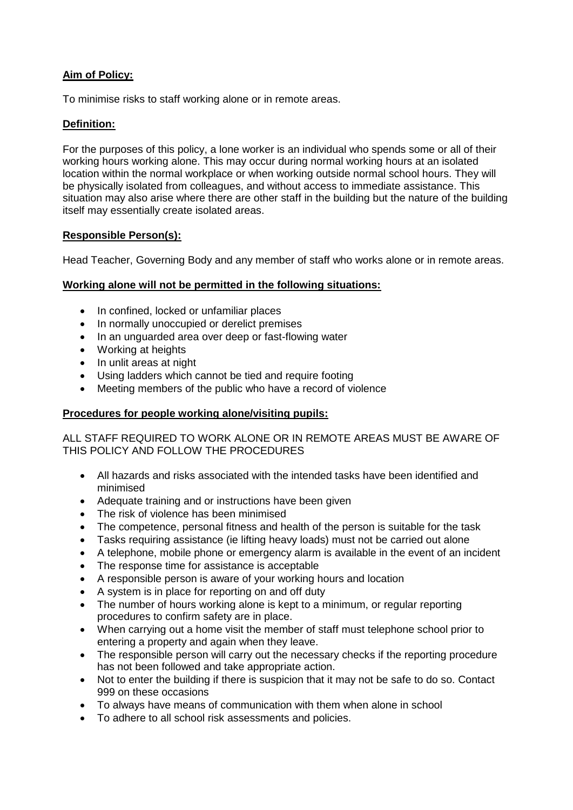#### **Aim of Policy:**

To minimise risks to staff working alone or in remote areas.

#### **Definition:**

For the purposes of this policy, a lone worker is an individual who spends some or all of their working hours working alone. This may occur during normal working hours at an isolated location within the normal workplace or when working outside normal school hours. They will be physically isolated from colleagues, and without access to immediate assistance. This situation may also arise where there are other staff in the building but the nature of the building itself may essentially create isolated areas.

#### **Responsible Person(s):**

Head Teacher, Governing Body and any member of staff who works alone or in remote areas.

#### **Working alone will not be permitted in the following situations:**

- In confined, locked or unfamiliar places
- In normally unoccupied or derelict premises
- In an unguarded area over deep or fast-flowing water
- Working at heights
- In unlit areas at night
- Using ladders which cannot be tied and require footing
- Meeting members of the public who have a record of violence

#### **Procedures for people working alone/visiting pupils:**

ALL STAFF REQUIRED TO WORK ALONE OR IN REMOTE AREAS MUST BE AWARE OF THIS POLICY AND FOLLOW THE PROCEDURES

- All hazards and risks associated with the intended tasks have been identified and minimised
- Adequate training and or instructions have been given
- The risk of violence has been minimised
- The competence, personal fitness and health of the person is suitable for the task
- Tasks requiring assistance (ie lifting heavy loads) must not be carried out alone
- A telephone, mobile phone or emergency alarm is available in the event of an incident
- The response time for assistance is acceptable
- A responsible person is aware of your working hours and location
- A system is in place for reporting on and off duty
- The number of hours working alone is kept to a minimum, or regular reporting procedures to confirm safety are in place.
- When carrying out a home visit the member of staff must telephone school prior to entering a property and again when they leave.
- The responsible person will carry out the necessary checks if the reporting procedure has not been followed and take appropriate action.
- Not to enter the building if there is suspicion that it may not be safe to do so. Contact 999 on these occasions
- To always have means of communication with them when alone in school
- To adhere to all school risk assessments and policies.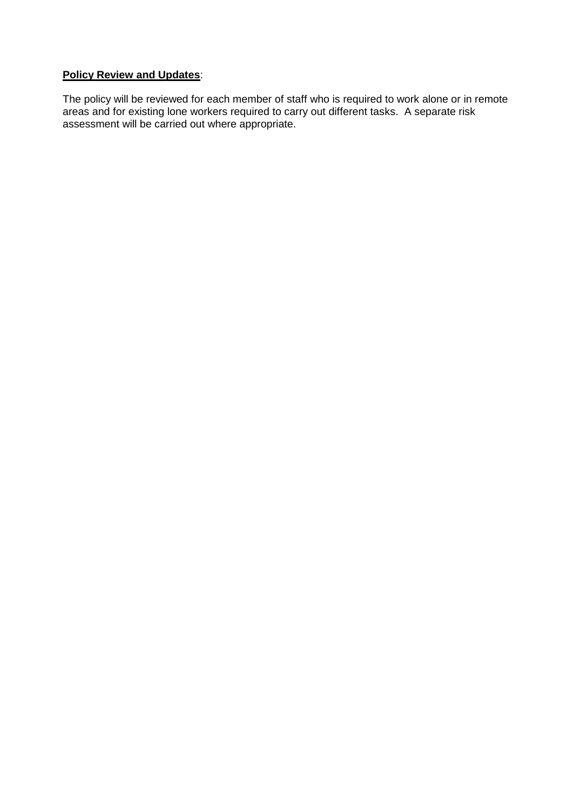### **Policy Review and Updates**:

The policy will be reviewed for each member of staff who is required to work alone or in remote areas and for existing lone workers required to carry out different tasks. A separate risk assessment will be carried out where appropriate.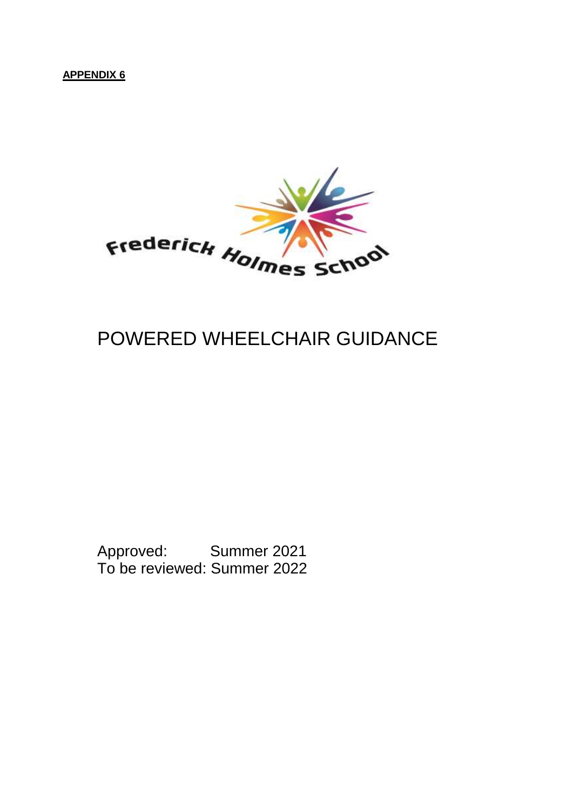**APPENDIX 6**



## POWERED WHEELCHAIR GUIDANCE

Approved: Summer 2021 To be reviewed: Summer 2022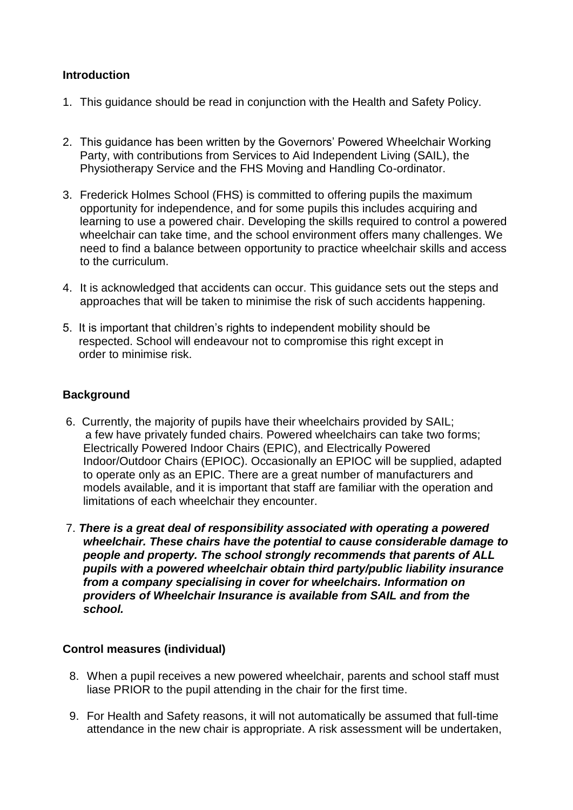### **Introduction**

- 1. This guidance should be read in conjunction with the Health and Safety Policy.
- 2. This guidance has been written by the Governors' Powered Wheelchair Working Party, with contributions from Services to Aid Independent Living (SAIL), the Physiotherapy Service and the FHS Moving and Handling Co-ordinator.
- 3. Frederick Holmes School (FHS) is committed to offering pupils the maximum opportunity for independence, and for some pupils this includes acquiring and learning to use a powered chair. Developing the skills required to control a powered wheelchair can take time, and the school environment offers many challenges. We need to find a balance between opportunity to practice wheelchair skills and access to the curriculum.
- 4. It is acknowledged that accidents can occur. This guidance sets out the steps and approaches that will be taken to minimise the risk of such accidents happening.
- 5. It is important that children's rights to independent mobility should be respected. School will endeavour not to compromise this right except in order to minimise risk.

### **Background**

- 6. Currently, the majority of pupils have their wheelchairs provided by SAIL; a few have privately funded chairs. Powered wheelchairs can take two forms; Electrically Powered Indoor Chairs (EPIC), and Electrically Powered Indoor/Outdoor Chairs (EPIOC). Occasionally an EPIOC will be supplied, adapted to operate only as an EPIC. There are a great number of manufacturers and models available, and it is important that staff are familiar with the operation and limitations of each wheelchair they encounter.
- 7. *There is a great deal of responsibility associated with operating a powered wheelchair. These chairs have the potential to cause considerable damage to people and property. The school strongly recommends that parents of ALL pupils with a powered wheelchair obtain third party/public liability insurance from a company specialising in cover for wheelchairs. Information on providers of Wheelchair Insurance is available from SAIL and from the school.*

#### **Control measures (individual)**

- 8. When a pupil receives a new powered wheelchair, parents and school staff must liase PRIOR to the pupil attending in the chair for the first time.
- 9. For Health and Safety reasons, it will not automatically be assumed that full-time attendance in the new chair is appropriate. A risk assessment will be undertaken,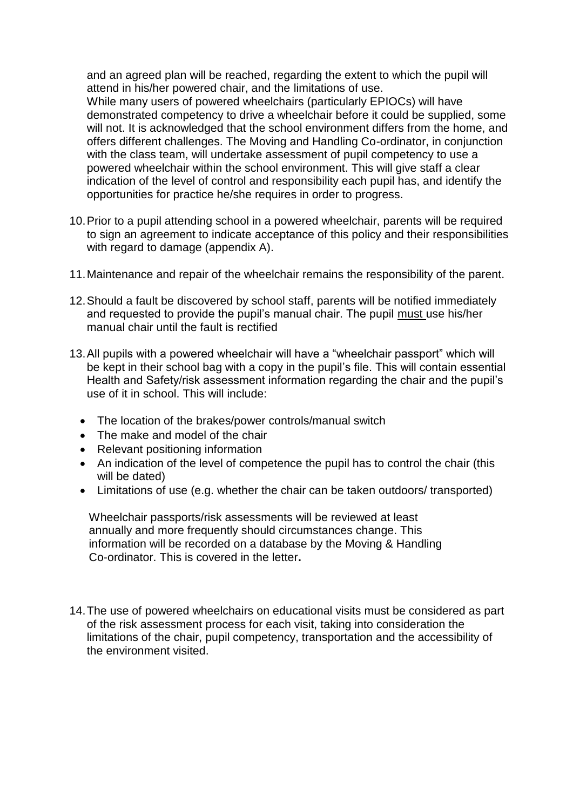and an agreed plan will be reached, regarding the extent to which the pupil will attend in his/her powered chair, and the limitations of use.

While many users of powered wheelchairs (particularly EPIOCs) will have demonstrated competency to drive a wheelchair before it could be supplied, some will not. It is acknowledged that the school environment differs from the home, and offers different challenges. The Moving and Handling Co-ordinator, in conjunction with the class team, will undertake assessment of pupil competency to use a powered wheelchair within the school environment. This will give staff a clear indication of the level of control and responsibility each pupil has, and identify the opportunities for practice he/she requires in order to progress.

- 10.Prior to a pupil attending school in a powered wheelchair, parents will be required to sign an agreement to indicate acceptance of this policy and their responsibilities with regard to damage (appendix A).
- 11.Maintenance and repair of the wheelchair remains the responsibility of the parent.
- 12.Should a fault be discovered by school staff, parents will be notified immediately and requested to provide the pupil's manual chair. The pupil must use his/her manual chair until the fault is rectified
- 13.All pupils with a powered wheelchair will have a "wheelchair passport" which will be kept in their school bag with a copy in the pupil's file. This will contain essential Health and Safety/risk assessment information regarding the chair and the pupil's use of it in school. This will include:
	- The location of the brakes/power controls/manual switch
	- The make and model of the chair
	- Relevant positioning information
	- An indication of the level of competence the pupil has to control the chair (this will be dated)
	- Limitations of use (e.g. whether the chair can be taken outdoors/ transported)

 Wheelchair passports/risk assessments will be reviewed at least annually and more frequently should circumstances change. This information will be recorded on a database by the Moving & Handling Co-ordinator. This is covered in the letter**.**

14.The use of powered wheelchairs on educational visits must be considered as part of the risk assessment process for each visit, taking into consideration the limitations of the chair, pupil competency, transportation and the accessibility of the environment visited.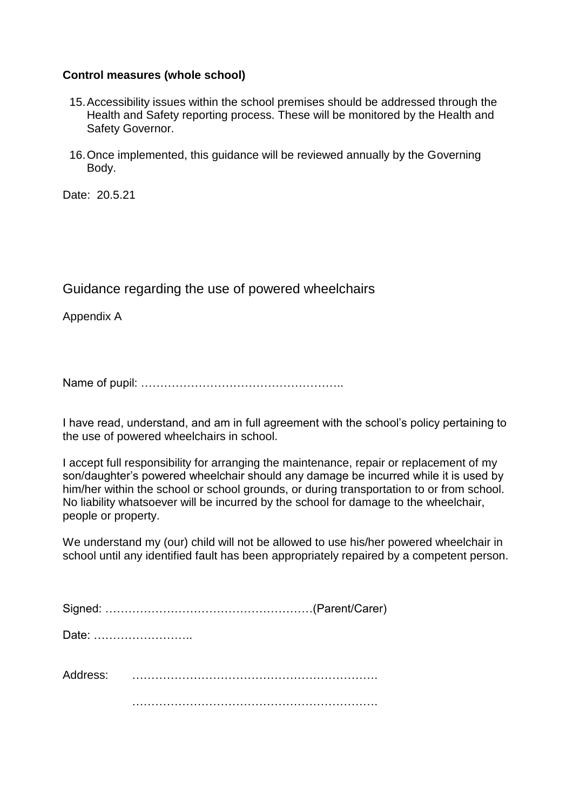#### **Control measures (whole school)**

- 15.Accessibility issues within the school premises should be addressed through the Health and Safety reporting process. These will be monitored by the Health and Safety Governor.
- 16.Once implemented, this guidance will be reviewed annually by the Governing Body.

Date: 20.5.21

## Guidance regarding the use of powered wheelchairs

Appendix A

Name of pupil: ……………………………………………..

I have read, understand, and am in full agreement with the school's policy pertaining to the use of powered wheelchairs in school.

I accept full responsibility for arranging the maintenance, repair or replacement of my son/daughter's powered wheelchair should any damage be incurred while it is used by him/her within the school or school grounds, or during transportation to or from school. No liability whatsoever will be incurred by the school for damage to the wheelchair, people or property.

We understand my (our) child will not be allowed to use his/her powered wheelchair in school until any identified fault has been appropriately repaired by a competent person.

| Date: |  |
|-------|--|
|       |  |
|       |  |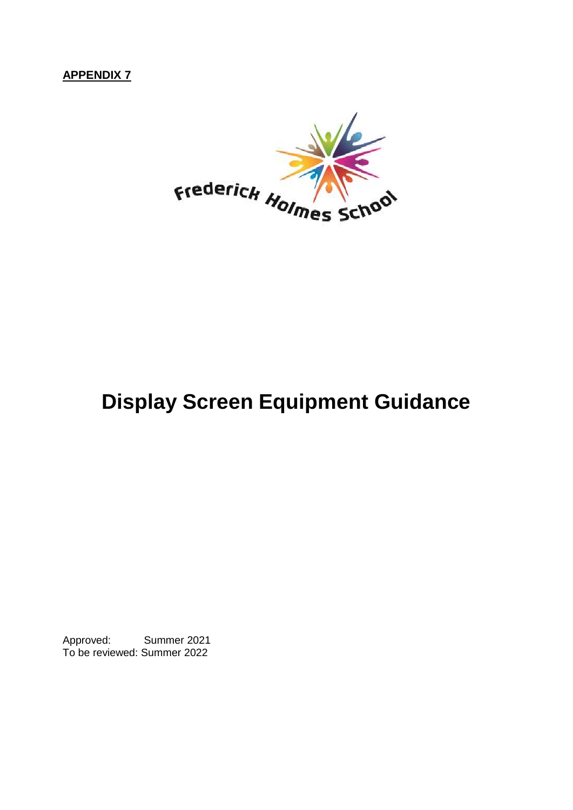## **APPENDIX 7**



## **Display Screen Equipment Guidance**

Approved: Summer 2021 To be reviewed: Summer 2022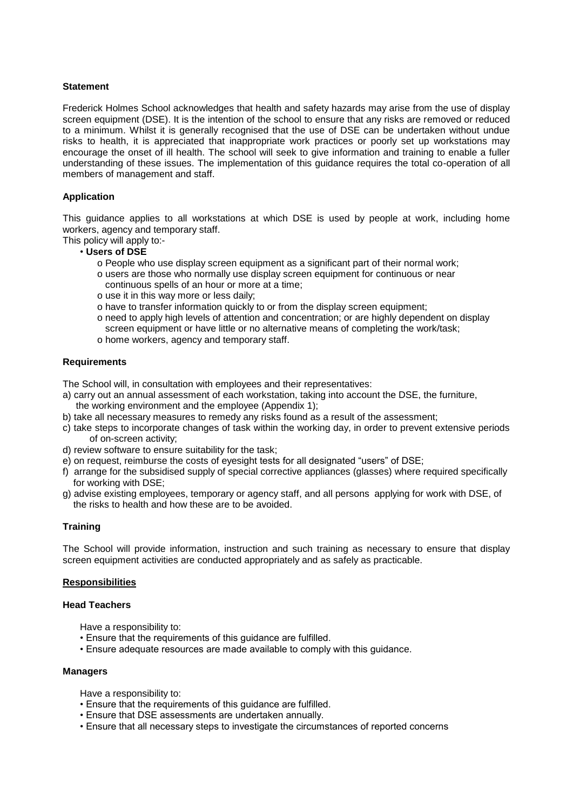#### **Statement**

Frederick Holmes School acknowledges that health and safety hazards may arise from the use of display screen equipment (DSE). It is the intention of the school to ensure that any risks are removed or reduced to a minimum. Whilst it is generally recognised that the use of DSE can be undertaken without undue risks to health, it is appreciated that inappropriate work practices or poorly set up workstations may encourage the onset of ill health. The school will seek to give information and training to enable a fuller understanding of these issues. The implementation of this guidance requires the total co-operation of all members of management and staff.

#### **Application**

This guidance applies to all workstations at which DSE is used by people at work, including home workers, agency and temporary staff.

This policy will apply to:-

- **Users of DSE** 
	- o People who use display screen equipment as a significant part of their normal work;
	- o users are those who normally use display screen equipment for continuous or near continuous spells of an hour or more at a time;
	- o use it in this way more or less daily;
	- o have to transfer information quickly to or from the display screen equipment;
	- o need to apply high levels of attention and concentration; or are highly dependent on display screen equipment or have little or no alternative means of completing the work/task; o home workers, agency and temporary staff.

#### **Requirements**

The School will, in consultation with employees and their representatives:

- a) carry out an annual assessment of each workstation, taking into account the DSE, the furniture, the working environment and the employee (Appendix 1);
- b) take all necessary measures to remedy any risks found as a result of the assessment;
- c) take steps to incorporate changes of task within the working day, in order to prevent extensive periods of on-screen activity;
- d) review software to ensure suitability for the task;
- e) on request, reimburse the costs of eyesight tests for all designated "users" of DSE;
- f) arrange for the subsidised supply of special corrective appliances (glasses) where required specifically for working with DSE;
- g) advise existing employees, temporary or agency staff, and all persons applying for work with DSE, of the risks to health and how these are to be avoided.

#### **Training**

The School will provide information, instruction and such training as necessary to ensure that display screen equipment activities are conducted appropriately and as safely as practicable.

#### **Responsibilities**

#### **Head Teachers**

Have a responsibility to:

- Ensure that the requirements of this guidance are fulfilled.
- Ensure adequate resources are made available to comply with this guidance.

#### **Managers**

Have a responsibility to:

- Ensure that the requirements of this guidance are fulfilled.
- Ensure that DSE assessments are undertaken annually.
- Ensure that all necessary steps to investigate the circumstances of reported concerns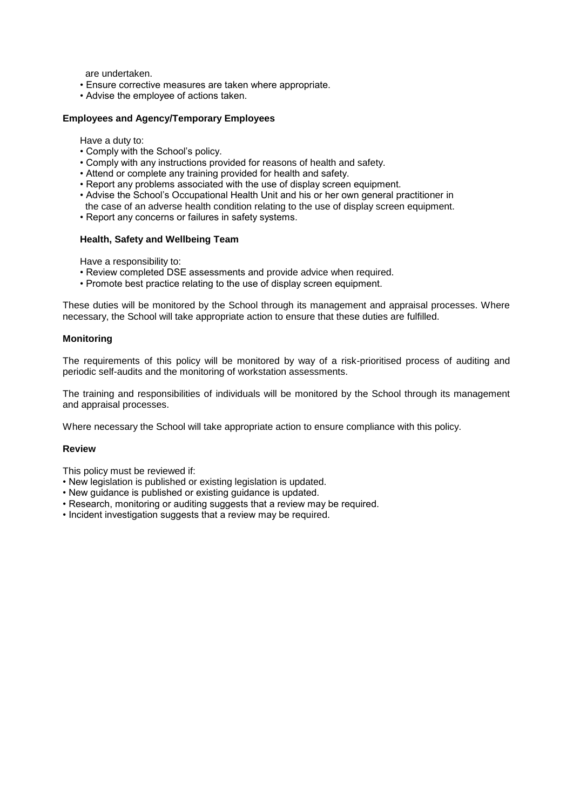are undertaken.

- Ensure corrective measures are taken where appropriate.
- Advise the employee of actions taken.

#### **Employees and Agency/Temporary Employees**

Have a duty to:

- Comply with the School's policy.
- Comply with any instructions provided for reasons of health and safety.
- Attend or complete any training provided for health and safety.
- Report any problems associated with the use of display screen equipment.
- Advise the School's Occupational Health Unit and his or her own general practitioner in
- the case of an adverse health condition relating to the use of display screen equipment.
- Report any concerns or failures in safety systems.

#### **Health, Safety and Wellbeing Team**

Have a responsibility to:

- Review completed DSE assessments and provide advice when required.
- Promote best practice relating to the use of display screen equipment.

These duties will be monitored by the School through its management and appraisal processes. Where necessary, the School will take appropriate action to ensure that these duties are fulfilled.

#### **Monitoring**

The requirements of this policy will be monitored by way of a risk-prioritised process of auditing and periodic self-audits and the monitoring of workstation assessments.

The training and responsibilities of individuals will be monitored by the School through its management and appraisal processes.

Where necessary the School will take appropriate action to ensure compliance with this policy.

#### **Review**

This policy must be reviewed if:

- New legislation is published or existing legislation is updated.
- New guidance is published or existing guidance is updated.
- Research, monitoring or auditing suggests that a review may be required.
- Incident investigation suggests that a review may be required.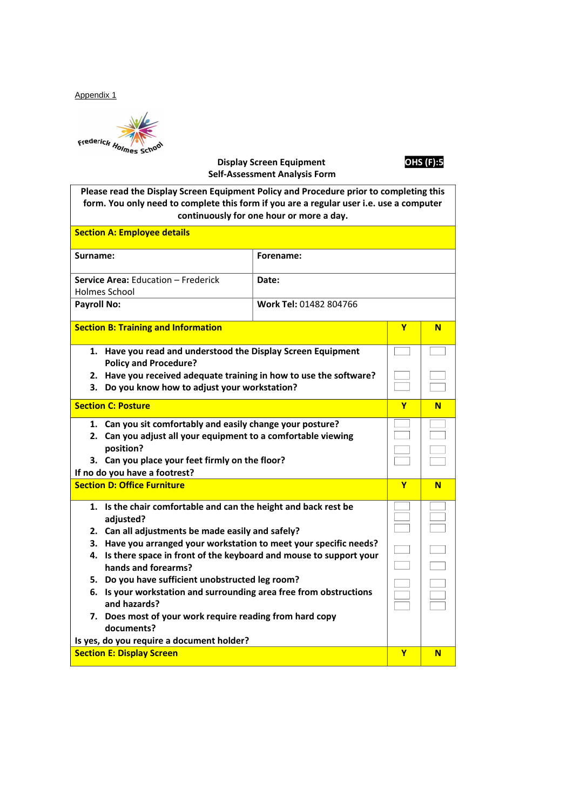Appendix 1

Frederick Holmes School<br>Display Screen Equipment **OHS (F):5** 

## **Self-Assessment Analysis Form**

**Please read the Display Screen Equipment Policy and Procedure prior to completing this form. You only need to complete this form if you are a regular user i.e. use a computer continuously for one hour or more a day.**

| <b>Section A: Employee details</b>                                                                                                                                                                                                                                                                                                                                                                                                                                                                                                                                      |                        |                          |   |
|-------------------------------------------------------------------------------------------------------------------------------------------------------------------------------------------------------------------------------------------------------------------------------------------------------------------------------------------------------------------------------------------------------------------------------------------------------------------------------------------------------------------------------------------------------------------------|------------------------|--------------------------|---|
| Surname:                                                                                                                                                                                                                                                                                                                                                                                                                                                                                                                                                                | Forename:              |                          |   |
| Service Area: Education - Frederick<br>Holmes School                                                                                                                                                                                                                                                                                                                                                                                                                                                                                                                    | Date:                  |                          |   |
| <b>Payroll No:</b>                                                                                                                                                                                                                                                                                                                                                                                                                                                                                                                                                      | Work Tel: 01482 804766 |                          |   |
| <b>Section B: Training and Information</b>                                                                                                                                                                                                                                                                                                                                                                                                                                                                                                                              |                        | Y                        | N |
| 1. Have you read and understood the Display Screen Equipment<br><b>Policy and Procedure?</b><br>2. Have you received adequate training in how to use the software?<br>3. Do you know how to adjust your workstation?                                                                                                                                                                                                                                                                                                                                                    |                        |                          |   |
| <b>Section C: Posture</b>                                                                                                                                                                                                                                                                                                                                                                                                                                                                                                                                               |                        | Y                        | N |
| 1. Can you sit comfortably and easily change your posture?<br>2. Can you adjust all your equipment to a comfortable viewing<br>position?<br>3. Can you place your feet firmly on the floor?<br>If no do you have a footrest?                                                                                                                                                                                                                                                                                                                                            |                        |                          |   |
| <b>Section D: Office Furniture</b>                                                                                                                                                                                                                                                                                                                                                                                                                                                                                                                                      |                        | Y                        | N |
| 1. Is the chair comfortable and can the height and back rest be<br>adjusted?<br>2. Can all adjustments be made easily and safely?<br>3. Have you arranged your workstation to meet your specific needs?<br>4. Is there space in front of the keyboard and mouse to support your<br>hands and forearms?<br>5. Do you have sufficient unobstructed leg room?<br>6. Is your workstation and surrounding area free from obstructions<br>and hazards?<br>7. Does most of your work require reading from hard copy<br>documents?<br>Is yes, do you require a document holder? |                        | $\overline{\phantom{0}}$ |   |
| <b>Section E: Display Screen</b>                                                                                                                                                                                                                                                                                                                                                                                                                                                                                                                                        |                        | Y                        | N |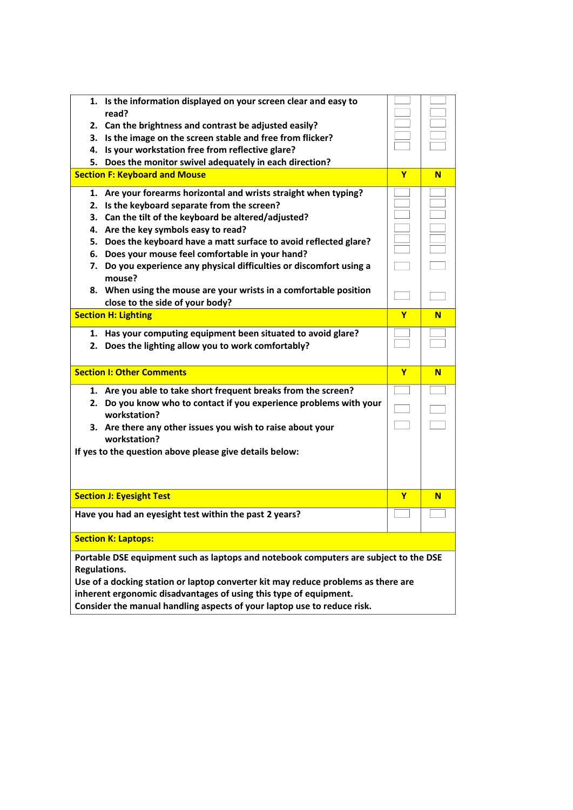| 1. Is the information displayed on your screen clear and easy to<br>read?<br>2. Can the brightness and contrast be adjusted easily?<br>3. Is the image on the screen stable and free from flicker?<br>4. Is your workstation free from reflective glare?<br>5. Does the monitor swivel adequately in each direction?                                                                                                                                                                                                                  |   |   |
|---------------------------------------------------------------------------------------------------------------------------------------------------------------------------------------------------------------------------------------------------------------------------------------------------------------------------------------------------------------------------------------------------------------------------------------------------------------------------------------------------------------------------------------|---|---|
| <b>Section F: Keyboard and Mouse</b>                                                                                                                                                                                                                                                                                                                                                                                                                                                                                                  | Y | N |
| 1. Are your forearms horizontal and wrists straight when typing?<br>2. Is the keyboard separate from the screen?<br>3. Can the tilt of the keyboard be altered/adjusted?<br>4. Are the key symbols easy to read?<br>5. Does the keyboard have a matt surface to avoid reflected glare?<br>6. Does your mouse feel comfortable in your hand?<br>7. Do you experience any physical difficulties or discomfort using a<br>mouse?<br>8. When using the mouse are your wrists in a comfortable position<br>close to the side of your body? |   |   |
| <b>Section H: Lighting</b>                                                                                                                                                                                                                                                                                                                                                                                                                                                                                                            | Y | N |
| 1. Has your computing equipment been situated to avoid glare?<br>2. Does the lighting allow you to work comfortably?                                                                                                                                                                                                                                                                                                                                                                                                                  |   |   |
| <b>Section I: Other Comments</b>                                                                                                                                                                                                                                                                                                                                                                                                                                                                                                      | Y | N |
| 1. Are you able to take short frequent breaks from the screen?<br>2. Do you know who to contact if you experience problems with your                                                                                                                                                                                                                                                                                                                                                                                                  |   |   |
| workstation?<br>3. Are there any other issues you wish to raise about your<br>workstation?<br>If yes to the question above please give details below:                                                                                                                                                                                                                                                                                                                                                                                 |   |   |
| <b>Section J: Eyesight Test</b>                                                                                                                                                                                                                                                                                                                                                                                                                                                                                                       | Y | N |
| Have you had an eyesight test within the past 2 years?                                                                                                                                                                                                                                                                                                                                                                                                                                                                                |   |   |
| <b>Section K: Laptops:</b>                                                                                                                                                                                                                                                                                                                                                                                                                                                                                                            |   |   |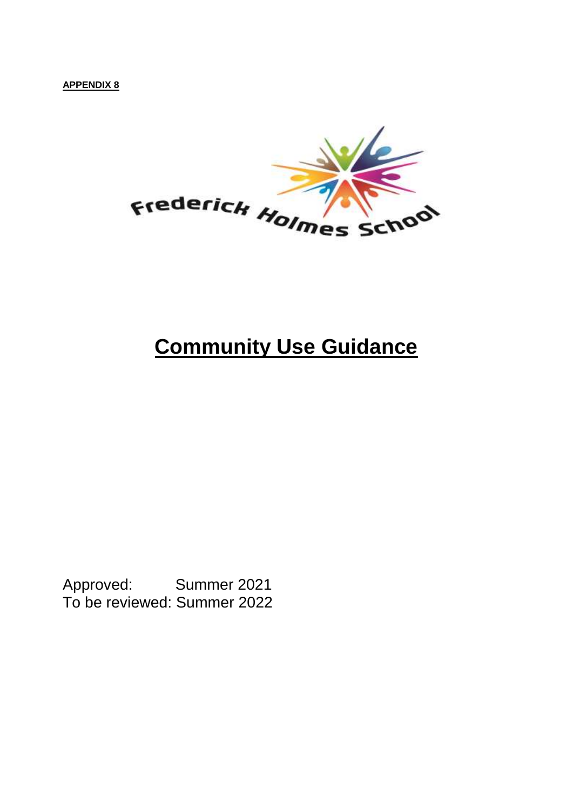**APPENDIX 8**



## **Community Use Guidance**

Approved: Summer 2021 To be reviewed: Summer 2022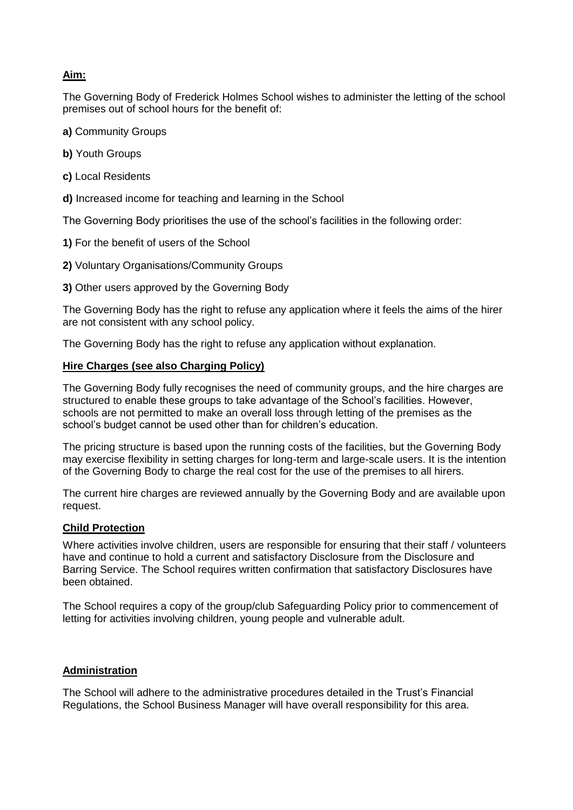#### **Aim:**

The Governing Body of Frederick Holmes School wishes to administer the letting of the school premises out of school hours for the benefit of:

- **a)** Community Groups
- **b)** Youth Groups
- **c)** Local Residents
- **d)** Increased income for teaching and learning in the School

The Governing Body prioritises the use of the school's facilities in the following order:

- **1)** For the benefit of users of the School
- **2)** Voluntary Organisations/Community Groups
- **3)** Other users approved by the Governing Body

The Governing Body has the right to refuse any application where it feels the aims of the hirer are not consistent with any school policy.

The Governing Body has the right to refuse any application without explanation.

#### **Hire Charges (see also Charging Policy)**

The Governing Body fully recognises the need of community groups, and the hire charges are structured to enable these groups to take advantage of the School's facilities. However, schools are not permitted to make an overall loss through letting of the premises as the school's budget cannot be used other than for children's education.

The pricing structure is based upon the running costs of the facilities, but the Governing Body may exercise flexibility in setting charges for long-term and large-scale users. It is the intention of the Governing Body to charge the real cost for the use of the premises to all hirers.

The current hire charges are reviewed annually by the Governing Body and are available upon request.

#### **Child Protection**

Where activities involve children, users are responsible for ensuring that their staff / volunteers have and continue to hold a current and satisfactory Disclosure from the Disclosure and Barring Service. The School requires written confirmation that satisfactory Disclosures have been obtained.

The School requires a copy of the group/club Safeguarding Policy prior to commencement of letting for activities involving children, young people and vulnerable adult.

#### **Administration**

The School will adhere to the administrative procedures detailed in the Trust's Financial Regulations, the School Business Manager will have overall responsibility for this area.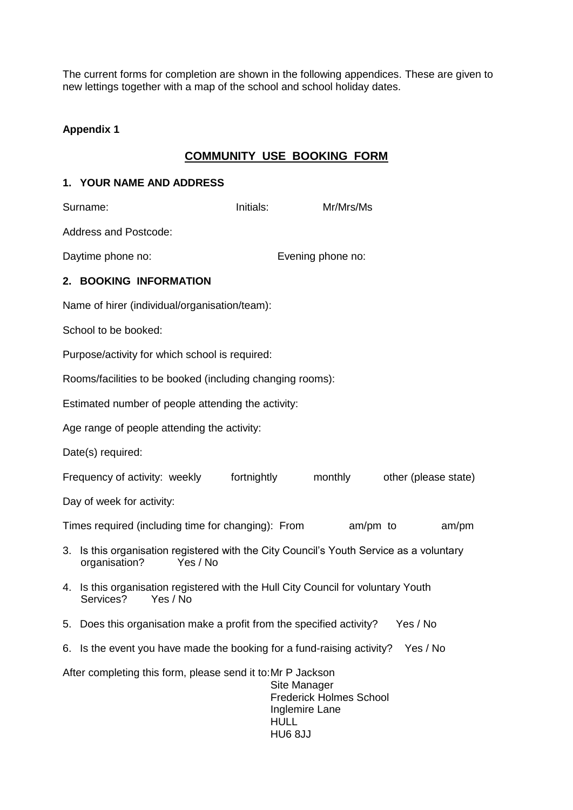The current forms for completion are shown in the following appendices. These are given to new lettings together with a map of the school and school holiday dates.

## **Appendix 1**

## **COMMUNITY USE BOOKING FORM**

#### **1. YOUR NAME AND ADDRESS**

|    | Surname:                                                                                                          | Initials:   | Mr/Mrs/Ms                                                                                 |                      |       |
|----|-------------------------------------------------------------------------------------------------------------------|-------------|-------------------------------------------------------------------------------------------|----------------------|-------|
|    | <b>Address and Postcode:</b>                                                                                      |             |                                                                                           |                      |       |
|    | Daytime phone no:                                                                                                 |             | Evening phone no:                                                                         |                      |       |
|    | 2. BOOKING INFORMATION                                                                                            |             |                                                                                           |                      |       |
|    | Name of hirer (individual/organisation/team):                                                                     |             |                                                                                           |                      |       |
|    | School to be booked:                                                                                              |             |                                                                                           |                      |       |
|    | Purpose/activity for which school is required:                                                                    |             |                                                                                           |                      |       |
|    | Rooms/facilities to be booked (including changing rooms):                                                         |             |                                                                                           |                      |       |
|    | Estimated number of people attending the activity:                                                                |             |                                                                                           |                      |       |
|    | Age range of people attending the activity:                                                                       |             |                                                                                           |                      |       |
|    | Date(s) required:                                                                                                 |             |                                                                                           |                      |       |
|    | Frequency of activity: weekly                                                                                     | fortnightly | monthly                                                                                   | other (please state) |       |
|    | Day of week for activity:                                                                                         |             |                                                                                           |                      |       |
|    | Times required (including time for changing): From                                                                |             |                                                                                           | am/pm to             | am/pm |
| 3. | Is this organisation registered with the City Council's Youth Service as a voluntary<br>organisation?<br>Yes / No |             |                                                                                           |                      |       |
| 4. | Is this organisation registered with the Hull City Council for voluntary Youth<br>Services?<br>Yes / No           |             |                                                                                           |                      |       |
|    | 5. Does this organisation make a profit from the specified activity?                                              |             |                                                                                           | Yes / No             |       |
|    | 6. Is the event you have made the booking for a fund-raising activity? Yes / No                                   |             |                                                                                           |                      |       |
|    | After completing this form, please send it to: Mr P Jackson                                                       |             | Site Manager<br><b>Frederick Holmes School</b><br>Inglemire Lane<br><b>HULL</b><br>HU68JJ |                      |       |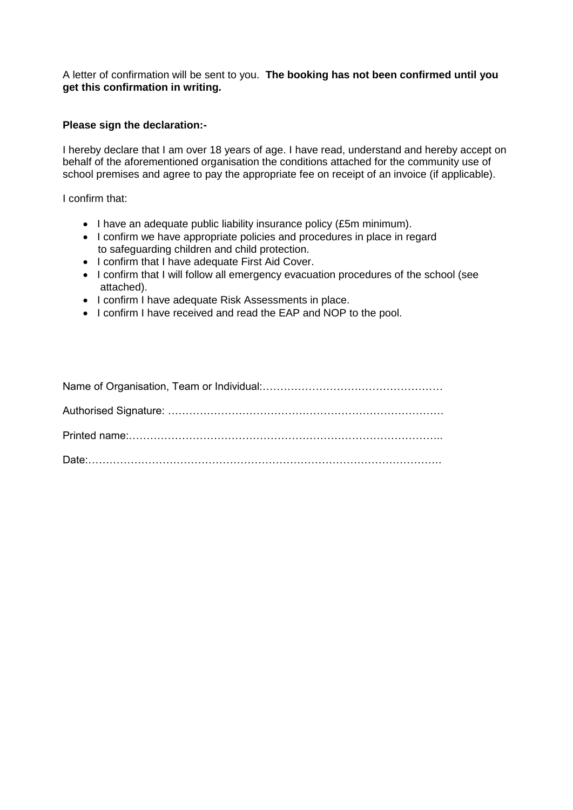A letter of confirmation will be sent to you. **The booking has not been confirmed until you get this confirmation in writing.**

#### **Please sign the declaration:-**

I hereby declare that I am over 18 years of age. I have read, understand and hereby accept on behalf of the aforementioned organisation the conditions attached for the community use of school premises and agree to pay the appropriate fee on receipt of an invoice (if applicable).

I confirm that:

- I have an adequate public liability insurance policy (£5m minimum).
- I confirm we have appropriate policies and procedures in place in regard to safeguarding children and child protection.
- I confirm that I have adequate First Aid Cover.
- I confirm that I will follow all emergency evacuation procedures of the school (see attached).
- I confirm I have adequate Risk Assessments in place.
- I confirm I have received and read the EAP and NOP to the pool.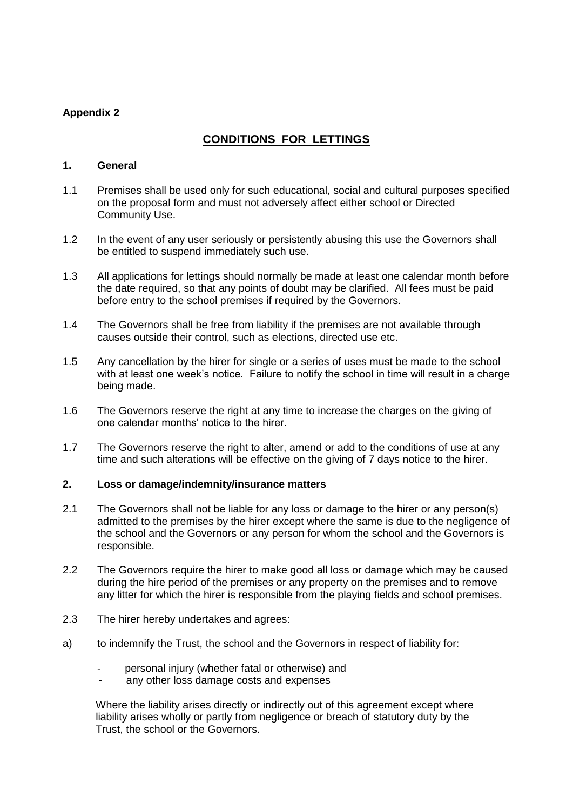### **Appendix 2**

## **CONDITIONS FOR LETTINGS**

#### **1. General**

- 1.1 Premises shall be used only for such educational, social and cultural purposes specified on the proposal form and must not adversely affect either school or Directed Community Use.
- 1.2 In the event of any user seriously or persistently abusing this use the Governors shall be entitled to suspend immediately such use.
- 1.3 All applications for lettings should normally be made at least one calendar month before the date required, so that any points of doubt may be clarified. All fees must be paid before entry to the school premises if required by the Governors.
- 1.4 The Governors shall be free from liability if the premises are not available through causes outside their control, such as elections, directed use etc.
- 1.5 Any cancellation by the hirer for single or a series of uses must be made to the school with at least one week's notice. Failure to notify the school in time will result in a charge being made.
- 1.6 The Governors reserve the right at any time to increase the charges on the giving of one calendar months' notice to the hirer.
- 1.7 The Governors reserve the right to alter, amend or add to the conditions of use at any time and such alterations will be effective on the giving of 7 days notice to the hirer.

#### **2. Loss or damage/indemnity/insurance matters**

- 2.1 The Governors shall not be liable for any loss or damage to the hirer or any person(s) admitted to the premises by the hirer except where the same is due to the negligence of the school and the Governors or any person for whom the school and the Governors is responsible.
- 2.2 The Governors require the hirer to make good all loss or damage which may be caused during the hire period of the premises or any property on the premises and to remove any litter for which the hirer is responsible from the playing fields and school premises.
- 2.3 The hirer hereby undertakes and agrees:
- a) to indemnify the Trust, the school and the Governors in respect of liability for:
	- personal injury (whether fatal or otherwise) and
	- any other loss damage costs and expenses

Where the liability arises directly or indirectly out of this agreement except where liability arises wholly or partly from negligence or breach of statutory duty by the Trust, the school or the Governors.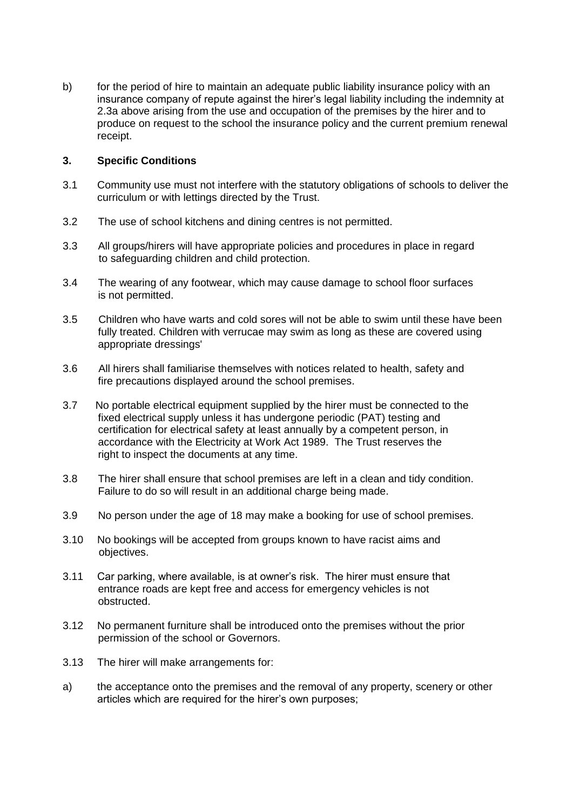b) for the period of hire to maintain an adequate public liability insurance policy with an insurance company of repute against the hirer's legal liability including the indemnity at 2.3a above arising from the use and occupation of the premises by the hirer and to produce on request to the school the insurance policy and the current premium renewal receipt.

#### **3. Specific Conditions**

- 3.1 Community use must not interfere with the statutory obligations of schools to deliver the curriculum or with lettings directed by the Trust.
- 3.2 The use of school kitchens and dining centres is not permitted.
- 3.3 All groups/hirers will have appropriate policies and procedures in place in regard to safeguarding children and child protection.
- 3.4 The wearing of any footwear, which may cause damage to school floor surfaces is not permitted.
- 3.5 Children who have warts and cold sores will not be able to swim until these have been fully treated. Children with verrucae may swim as long as these are covered using appropriate dressings'
- 3.6 All hirers shall familiarise themselves with notices related to health, safety and fire precautions displayed around the school premises.
- 3.7 No portable electrical equipment supplied by the hirer must be connected to the fixed electrical supply unless it has undergone periodic (PAT) testing and certification for electrical safety at least annually by a competent person, in accordance with the Electricity at Work Act 1989. The Trust reserves the right to inspect the documents at any time.
- 3.8 The hirer shall ensure that school premises are left in a clean and tidy condition. Failure to do so will result in an additional charge being made.
- 3.9 No person under the age of 18 may make a booking for use of school premises.
- 3.10 No bookings will be accepted from groups known to have racist aims and objectives.
- 3.11 Car parking, where available, is at owner's risk. The hirer must ensure that entrance roads are kept free and access for emergency vehicles is not obstructed.
- 3.12 No permanent furniture shall be introduced onto the premises without the prior permission of the school or Governors.
- 3.13 The hirer will make arrangements for:
- a) the acceptance onto the premises and the removal of any property, scenery or other articles which are required for the hirer's own purposes;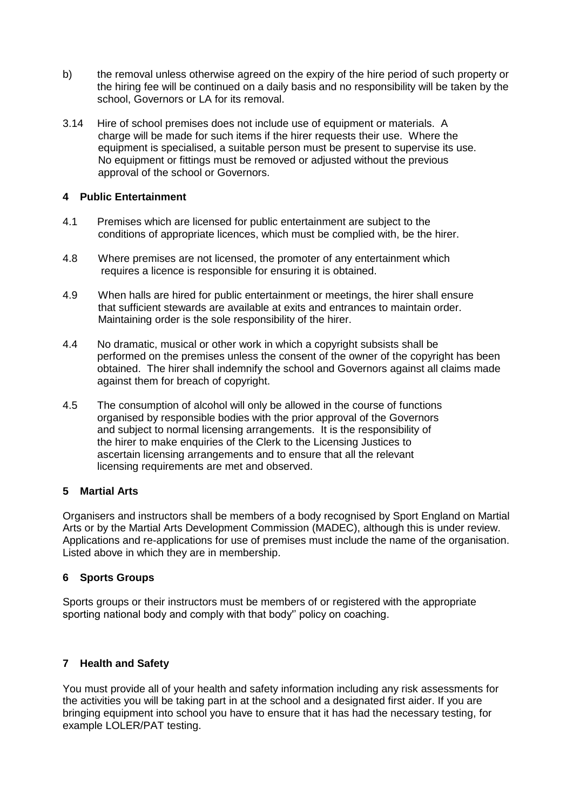- b) the removal unless otherwise agreed on the expiry of the hire period of such property or the hiring fee will be continued on a daily basis and no responsibility will be taken by the school, Governors or LA for its removal.
- 3.14 Hire of school premises does not include use of equipment or materials. A charge will be made for such items if the hirer requests their use. Where the equipment is specialised, a suitable person must be present to supervise its use. No equipment or fittings must be removed or adjusted without the previous approval of the school or Governors.

#### **4 Public Entertainment**

- 4.1 Premises which are licensed for public entertainment are subject to the conditions of appropriate licences, which must be complied with, be the hirer.
- 4.8 Where premises are not licensed, the promoter of any entertainment which requires a licence is responsible for ensuring it is obtained.
- 4.9 When halls are hired for public entertainment or meetings, the hirer shall ensure that sufficient stewards are available at exits and entrances to maintain order. Maintaining order is the sole responsibility of the hirer.
- 4.4 No dramatic, musical or other work in which a copyright subsists shall be performed on the premises unless the consent of the owner of the copyright has been obtained. The hirer shall indemnify the school and Governors against all claims made against them for breach of copyright.
- 4.5 The consumption of alcohol will only be allowed in the course of functions organised by responsible bodies with the prior approval of the Governors and subject to normal licensing arrangements. It is the responsibility of the hirer to make enquiries of the Clerk to the Licensing Justices to ascertain licensing arrangements and to ensure that all the relevant licensing requirements are met and observed.

#### **5 Martial Arts**

Organisers and instructors shall be members of a body recognised by Sport England on Martial Arts or by the Martial Arts Development Commission (MADEC), although this is under review. Applications and re-applications for use of premises must include the name of the organisation. Listed above in which they are in membership.

#### **6 Sports Groups**

Sports groups or their instructors must be members of or registered with the appropriate sporting national body and comply with that body'' policy on coaching.

#### **7 Health and Safety**

You must provide all of your health and safety information including any risk assessments for the activities you will be taking part in at the school and a designated first aider. If you are bringing equipment into school you have to ensure that it has had the necessary testing, for example LOLER/PAT testing.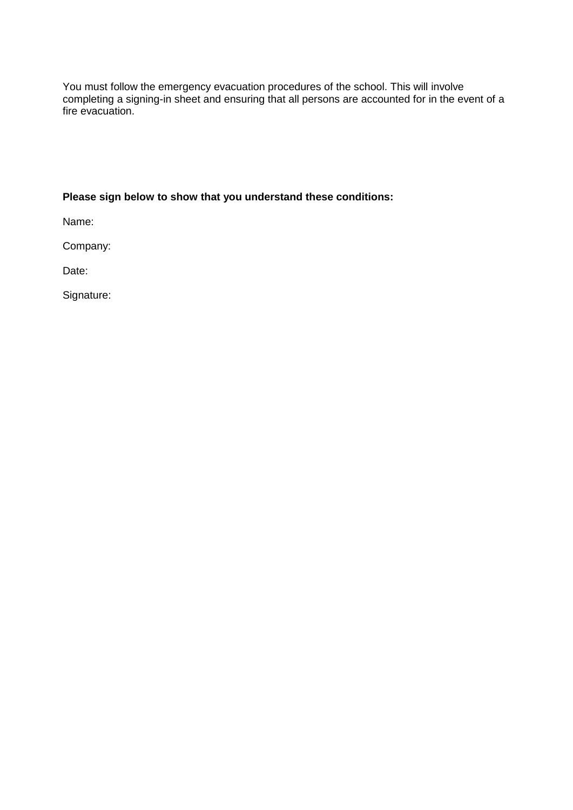You must follow the emergency evacuation procedures of the school. This will involve completing a signing-in sheet and ensuring that all persons are accounted for in the event of a fire evacuation.

## **Please sign below to show that you understand these conditions:**

Name:

Company:

Date:

Signature: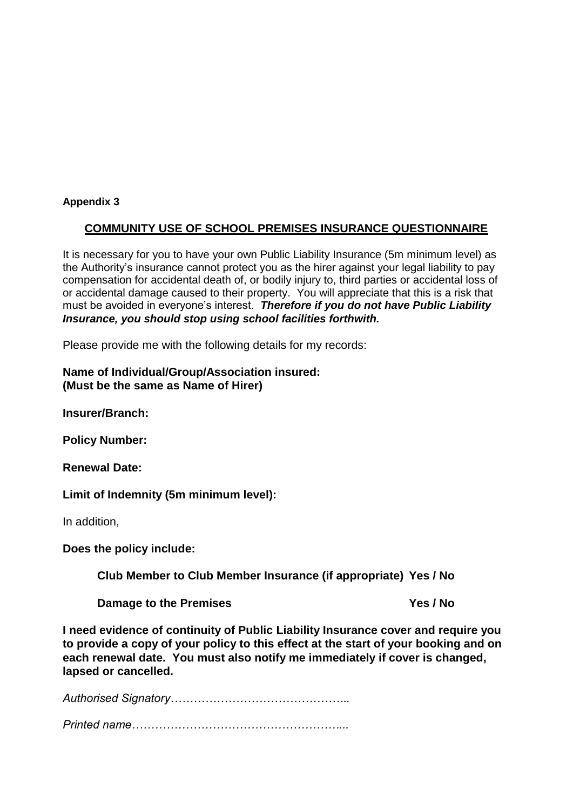#### **Appendix 3**

### **COMMUNITY USE OF SCHOOL PREMISES INSURANCE QUESTIONNAIRE**

It is necessary for you to have your own Public Liability Insurance (5m minimum level) as the Authority's insurance cannot protect you as the hirer against your legal liability to pay compensation for accidental death of, or bodily injury to, third parties or accidental loss of or accidental damage caused to their property. You will appreciate that this is a risk that must be avoided in everyone's interest. *Therefore if you do not have Public Liability Insurance, you should stop using school facilities forthwith.*

Please provide me with the following details for my records:

#### **Name of Individual/Group/Association insured: (Must be the same as Name of Hirer)**

**Insurer/Branch:**

**Policy Number:**

**Renewal Date:**

**Limit of Indemnity (5m minimum level):**

In addition,

**Does the policy include:**

**Club Member to Club Member Insurance (if appropriate) Yes / No**

**Damage to the Premises <b>Ves** / No

**I need evidence of continuity of Public Liability Insurance cover and require you to provide a copy of your policy to this effect at the start of your booking and on each renewal date. You must also notify me immediately if cover is changed, lapsed or cancelled.**

*Authorised Signatory………………………………………..*

*Printed name………………………………………………...*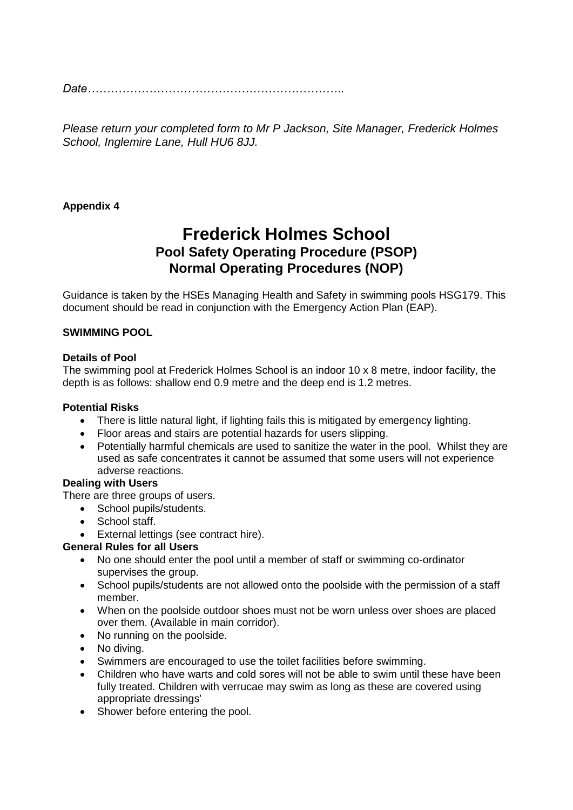*Date………………………………………………………….*

*Please return your completed form to Mr P Jackson, Site Manager, Frederick Holmes School, Inglemire Lane, Hull HU6 8JJ.*

### **Appendix 4**

## **Frederick Holmes School Pool Safety Operating Procedure (PSOP) Normal Operating Procedures (NOP)**

Guidance is taken by the HSEs Managing Health and Safety in swimming pools HSG179. This document should be read in conjunction with the Emergency Action Plan (EAP).

#### **SWIMMING POOL**

#### **Details of Pool**

The swimming pool at Frederick Holmes School is an indoor 10 x 8 metre, indoor facility, the depth is as follows: shallow end 0.9 metre and the deep end is 1.2 metres.

#### **Potential Risks**

- There is little natural light, if lighting fails this is mitigated by emergency lighting.
- Floor areas and stairs are potential hazards for users slipping.
- Potentially harmful chemicals are used to sanitize the water in the pool. Whilst they are used as safe concentrates it cannot be assumed that some users will not experience adverse reactions.

#### **Dealing with Users**

There are three groups of users.

- School pupils/students.
- School staff.
- External lettings (see contract hire).

#### **General Rules for all Users**

- No one should enter the pool until a member of staff or swimming co-ordinator supervises the group.
- School pupils/students are not allowed onto the poolside with the permission of a staff member.
- When on the poolside outdoor shoes must not be worn unless over shoes are placed over them. (Available in main corridor).
- No running on the poolside.
- No diving.
- Swimmers are encouraged to use the toilet facilities before swimming.
- Children who have warts and cold sores will not be able to swim until these have been fully treated. Children with verrucae may swim as long as these are covered using appropriate dressings'
- Shower before entering the pool.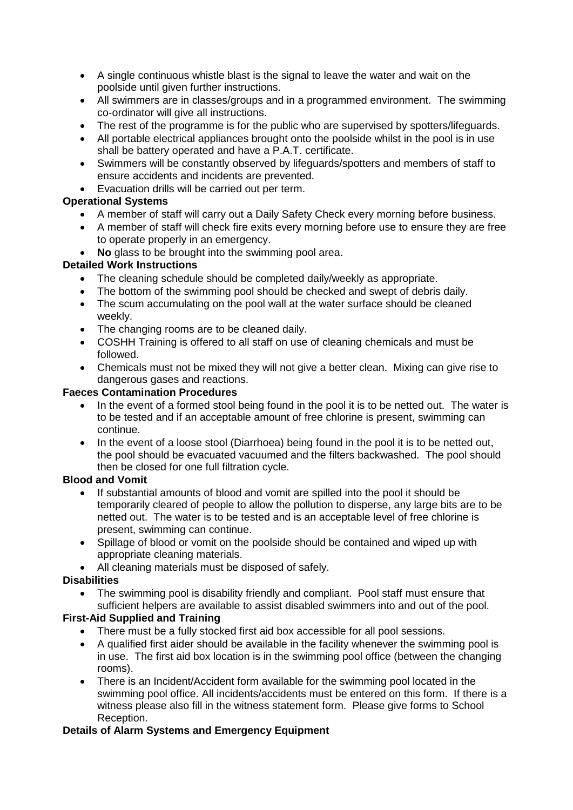- A single continuous whistle blast is the signal to leave the water and wait on the poolside until given further instructions.
- All swimmers are in classes/groups and in a programmed environment. The swimming co-ordinator will give all instructions.
- The rest of the programme is for the public who are supervised by spotters/lifeguards.
- All portable electrical appliances brought onto the poolside whilst in the pool is in use shall be battery operated and have a P.A.T. certificate.
- Swimmers will be constantly observed by lifeguards/spotters and members of staff to ensure accidents and incidents are prevented.
- Evacuation drills will be carried out per term.

#### **Operational Systems**

- A member of staff will carry out a Daily Safety Check every morning before business.
- A member of staff will check fire exits every morning before use to ensure they are free to operate properly in an emergency.
- **No** glass to be brought into the swimming pool area.

#### **Detailed Work Instructions**

- The cleaning schedule should be completed daily/weekly as appropriate.
- The bottom of the swimming pool should be checked and swept of debris daily.
- The scum accumulating on the pool wall at the water surface should be cleaned weekly.
- The changing rooms are to be cleaned daily.
- COSHH Training is offered to all staff on use of cleaning chemicals and must be followed.
- Chemicals must not be mixed they will not give a better clean. Mixing can give rise to dangerous gases and reactions.

#### **Faeces Contamination Procedures**

- In the event of a formed stool being found in the pool it is to be netted out. The water is to be tested and if an acceptable amount of free chlorine is present, swimming can continue.
- In the event of a loose stool (Diarrhoea) being found in the pool it is to be netted out, the pool should be evacuated vacuumed and the filters backwashed. The pool should then be closed for one full filtration cycle.

#### **Blood and Vomit**

- If substantial amounts of blood and vomit are spilled into the pool it should be temporarily cleared of people to allow the pollution to disperse, any large bits are to be netted out. The water is to be tested and is an acceptable level of free chlorine is present, swimming can continue.
- Spillage of blood or vomit on the poolside should be contained and wiped up with appropriate cleaning materials.
- All cleaning materials must be disposed of safely.

#### **Disabilities**

• The swimming pool is disability friendly and compliant. Pool staff must ensure that sufficient helpers are available to assist disabled swimmers into and out of the pool.

#### **First-Aid Supplied and Training**

- There must be a fully stocked first aid box accessible for all pool sessions.
- A qualified first aider should be available in the facility whenever the swimming pool is in use. The first aid box location is in the swimming pool office (between the changing rooms).
- There is an Incident/Accident form available for the swimming pool located in the swimming pool office. All incidents/accidents must be entered on this form. If there is a witness please also fill in the witness statement form. Please give forms to School Reception.

#### **Details of Alarm Systems and Emergency Equipment**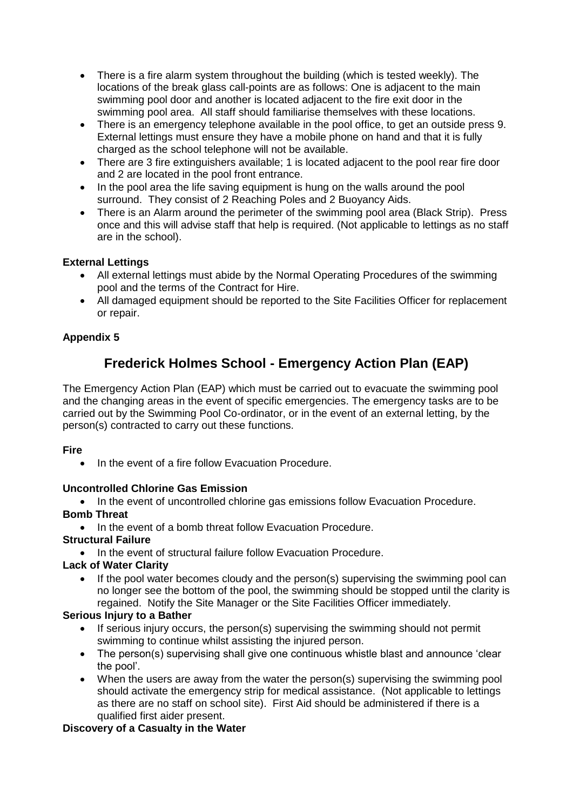- There is a fire alarm system throughout the building (which is tested weekly). The locations of the break glass call-points are as follows: One is adjacent to the main swimming pool door and another is located adjacent to the fire exit door in the swimming pool area. All staff should familiarise themselves with these locations.
- There is an emergency telephone available in the pool office, to get an outside press 9. External lettings must ensure they have a mobile phone on hand and that it is fully charged as the school telephone will not be available.
- There are 3 fire extinguishers available; 1 is located adjacent to the pool rear fire door and 2 are located in the pool front entrance.
- In the pool area the life saving equipment is hung on the walls around the pool surround. They consist of 2 Reaching Poles and 2 Buoyancy Aids.
- There is an Alarm around the perimeter of the swimming pool area (Black Strip). Press once and this will advise staff that help is required. (Not applicable to lettings as no staff are in the school).

### **External Lettings**

- All external lettings must abide by the Normal Operating Procedures of the swimming pool and the terms of the Contract for Hire.
- All damaged equipment should be reported to the Site Facilities Officer for replacement or repair.

### **Appendix 5**

## **Frederick Holmes School - Emergency Action Plan (EAP)**

The Emergency Action Plan (EAP) which must be carried out to evacuate the swimming pool and the changing areas in the event of specific emergencies. The emergency tasks are to be carried out by the Swimming Pool Co-ordinator, or in the event of an external letting, by the person(s) contracted to carry out these functions.

#### **Fire**

• In the event of a fire follow Evacuation Procedure.

#### **Uncontrolled Chlorine Gas Emission**

• In the event of uncontrolled chlorine gas emissions follow Evacuation Procedure. **Bomb Threat**

• In the event of a bomb threat follow Evacuation Procedure.

#### **Structural Failure**

• In the event of structural failure follow Evacuation Procedure.

#### **Lack of Water Clarity**

• If the pool water becomes cloudy and the person(s) supervising the swimming pool can no longer see the bottom of the pool, the swimming should be stopped until the clarity is regained. Notify the Site Manager or the Site Facilities Officer immediately.

#### **Serious Injury to a Bather**

- If serious injury occurs, the person(s) supervising the swimming should not permit swimming to continue whilst assisting the injured person.
- The person(s) supervising shall give one continuous whistle blast and announce 'clear the pool'.
- When the users are away from the water the person(s) supervising the swimming pool should activate the emergency strip for medical assistance. (Not applicable to lettings as there are no staff on school site). First Aid should be administered if there is a qualified first aider present.

#### **Discovery of a Casualty in the Water**